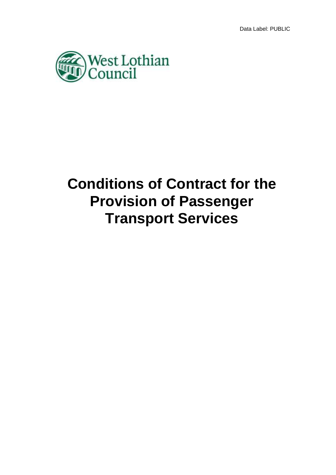

# **Conditions of Contract for the Provision of Passenger Transport Services**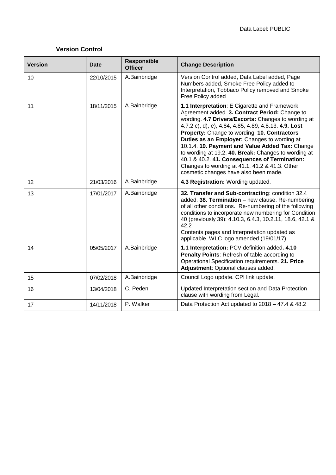# **Version Control**

| <b>Version</b> | <b>Date</b> | <b>Responsible</b><br><b>Officer</b> | <b>Change Description</b>                                                                                                                                                                                                                                                                                                                                                                                                                                                                                                                                              |
|----------------|-------------|--------------------------------------|------------------------------------------------------------------------------------------------------------------------------------------------------------------------------------------------------------------------------------------------------------------------------------------------------------------------------------------------------------------------------------------------------------------------------------------------------------------------------------------------------------------------------------------------------------------------|
| 10             | 22/10/2015  | A.Bainbridge                         | Version Control added, Data Label added, Page<br>Numbers added, Smoke Free Policy added to<br>Interpretation, Tobbaco Policy removed and Smoke<br>Free Policy added                                                                                                                                                                                                                                                                                                                                                                                                    |
| 11             | 18/11/2015  | A.Bainbridge                         | 1.1 Interpretation: E Cigarette and Framework<br>Agreement added. 3. Contract Period: Change to<br>wording. 4.7 Drivers/Escorts: Changes to wording at<br>4.7.2 c), d), e), 4.84, 4.85, 4.89, 4.8.13. 4.9. Lost<br>Property: Change to wording. 10. Contractors<br>Duties as an Employer: Changes to wording at<br>10.1.4. 19. Payment and Value Added Tax: Change<br>to wording at 19.2. 40. Break: Changes to wording at<br>40.1 & 40.2. 41. Consequences of Termination:<br>Changes to wording at 41.1, 41.2 & 41.3. Other<br>cosmetic changes have also been made. |
| 12             | 21/03/2016  | A.Bainbridge                         | 4.3 Registration: Wording updated.                                                                                                                                                                                                                                                                                                                                                                                                                                                                                                                                     |
| 13             | 17/01/2017  | A.Bainbridge                         | 32. Transfer and Sub-contracting: condition 32.4<br>added. 38. Termination - new clause. Re-numbering<br>of all other conditions. Re-numbering of the following<br>conditions to incorporate new numbering for Condition<br>40 (previously 39): 4.10.3, 6.4.3, 10.2.11, 18.6, 42.1 &<br>42.2<br>Contents pages and Interpretation updated as<br>applicable. WLC logo amended (19/01/17)                                                                                                                                                                                |
| 14             | 05/05/2017  | A.Bainbridge                         | 1.1 Interpretation: PCV definition added. 4.10<br>Penalty Points: Refresh of table according to<br>Operational Specification requirements. 21. Price<br>Adjustment: Optional clauses added.                                                                                                                                                                                                                                                                                                                                                                            |
| 15             | 07/02/2018  | A.Bainbridge                         | Council Logo update. CPI link update.                                                                                                                                                                                                                                                                                                                                                                                                                                                                                                                                  |
| 16             | 13/04/2018  | C. Peden                             | Updated Interpretation section and Data Protection<br>clause with wording from Legal.                                                                                                                                                                                                                                                                                                                                                                                                                                                                                  |
| 17             | 14/11/2018  | P. Walker                            | Data Protection Act updated to 2018 - 47.4 & 48.2                                                                                                                                                                                                                                                                                                                                                                                                                                                                                                                      |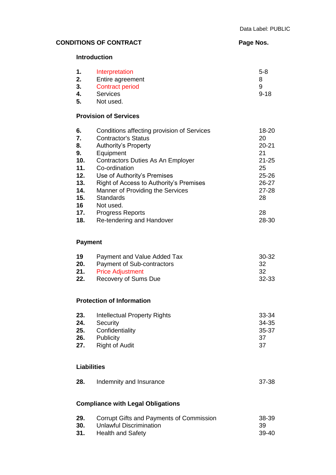# **CONDITIONS OF CONTRACT Page Nos.**

# **Introduction**

| 1.             | Interpretation                                         | $5 - 8$       |
|----------------|--------------------------------------------------------|---------------|
| 2.             | Entire agreement                                       | 8             |
| 3.<br>4.<br>5. | <b>Contract period</b><br><b>Services</b><br>Not used. | 9<br>$9 - 18$ |
|                | <b>Provision of Services</b>                           |               |
| 6.             | Conditions affecting provision of Services             | 18-20         |
| 7.             | <b>Contractor's Status</b>                             | 20            |

| 8.  | <b>Authority's Property</b>             | $20 - 21$ |
|-----|-----------------------------------------|-----------|
| 9.  | Equipment                               | 21        |
| 10. | Contractors Duties As An Employer       | $21 - 25$ |
| 11. | Co-ordination                           | 25        |
| 12. | Use of Authority's Premises             | $25 - 26$ |
| 13. | Right of Access to Authority's Premises | 26-27     |
| 14. | Manner of Providing the Services        | $27 - 28$ |
| 15. | <b>Standards</b>                        | 28        |
| 16  | Not used.                               |           |
| 17. | <b>Progress Reports</b>                 | 28        |
| 18. | Re-tendering and Handover               | 28-30     |
|     |                                         |           |

# **Payment**

| 19  | Payment and Value Added Tax | 30-32 |
|-----|-----------------------------|-------|
| 20. | Payment of Sub-contractors  | -32   |
|     | 21. Price Adjustment        | -32   |
| 22. | Recovery of Sums Due        | 32-33 |

# **Protection of Information**

| 23. | Intellectual Property Rights | 33-34 |
|-----|------------------------------|-------|
| 24. | Security                     | 34-35 |
| 25. | Confidentiality              | 35-37 |
| 26. | Publicity                    | -37   |
| 27. | <b>Right of Audit</b>        | -37   |
|     |                              |       |

#### **Liabilities**

| 28. | Indemnity and Insurance | 37-38 |
|-----|-------------------------|-------|
|-----|-------------------------|-------|

# **Compliance with Legal Obligations**

| 29. | Corrupt Gifts and Payments of Commission | 38-39 |
|-----|------------------------------------------|-------|
| 30. | Unlawful Discrimination                  | -39   |
|     | <b>31.</b> Health and Safety             | 39-40 |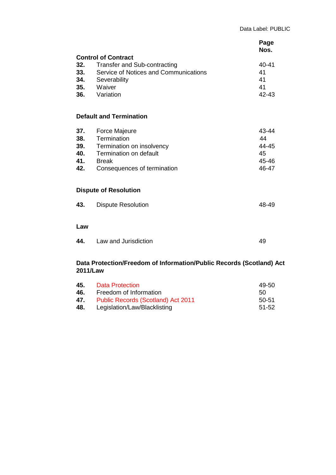|                                                                                  |                                                                                                                                                   | Page<br>Nos.                                 |  |  |
|----------------------------------------------------------------------------------|---------------------------------------------------------------------------------------------------------------------------------------------------|----------------------------------------------|--|--|
| 32.<br>33.<br>34.<br>35.<br>36.                                                  | <b>Control of Contract</b><br><b>Transfer and Sub-contracting</b><br>Service of Notices and Communications<br>Severability<br>Waiver<br>Variation | 40-41<br>41<br>41<br>41<br>42-43             |  |  |
|                                                                                  | <b>Default and Termination</b>                                                                                                                    |                                              |  |  |
| 37.<br>38.<br>39.<br>40.<br>41.<br>42.                                           | <b>Force Majeure</b><br>Termination<br>Termination on insolvency<br>Termination on default<br><b>Break</b><br>Consequences of termination         | 43-44<br>44<br>44-45<br>45<br>45-46<br>46-47 |  |  |
|                                                                                  | <b>Dispute of Resolution</b>                                                                                                                      |                                              |  |  |
| 43.                                                                              | <b>Dispute Resolution</b>                                                                                                                         | 48-49                                        |  |  |
| Law                                                                              |                                                                                                                                                   |                                              |  |  |
| 44.                                                                              | Law and Jurisdiction                                                                                                                              | 49                                           |  |  |
| Data Protection/Freedom of Information/Public Records (Scotland) Act<br>2011/Law |                                                                                                                                                   |                                              |  |  |

| 45. | Data Protection                           | 49-50 |
|-----|-------------------------------------------|-------|
| 46. | Freedom of Information                    | 50.   |
| 47. | <b>Public Records (Scotland) Act 2011</b> | 50-51 |
| 48. | Legislation/Law/Blacklisting              | 51-52 |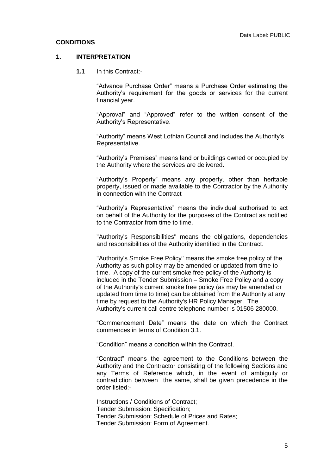#### **CONDITIONS**

#### **1. INTERPRETATION**

**1.1** In this Contract:-

"Advance Purchase Order" means a Purchase Order estimating the Authority's requirement for the goods or services for the current financial year.

"Approval" and "Approved" refer to the written consent of the Authority's Representative.

"Authority" means West Lothian Council and includes the Authority's Representative.

"Authority's Premises" means land or buildings owned or occupied by the Authority where the services are delivered.

"Authority's Property" means any property, other than heritable property, issued or made available to the Contractor by the Authority in connection with the Contract

"Authority's Representative" means the individual authorised to act on behalf of the Authority for the purposes of the Contract as notified to the Contractor from time to time.

"Authority's Responsibilities" means the obligations, dependencies and responsibilities of the Authority identified in the Contract.

"Authority's Smoke Free Policy" means the smoke free policy of the Authority as such policy may be amended or updated from time to time. A copy of the current smoke free policy of the Authority is included in the Tender Submission – Smoke Free Policy and a copy of the Authority's current smoke free policy (as may be amended or updated from time to time) can be obtained from the Authority at any time by request to the Authority's HR Policy Manager. The Authority's current call centre telephone number is 01506 280000.

"Commencement Date" means the date on which the Contract commences in terms of Condition 3.1.

"Condition" means a condition within the Contract.

"Contract" means the agreement to the Conditions between the Authority and the Contractor consisting of the following Sections and any Terms of Reference which, in the event of ambiguity or contradiction between the same, shall be given precedence in the order listed:-

Instructions / Conditions of Contract; Tender Submission: Specification; Tender Submission: Schedule of Prices and Rates; Tender Submission: Form of Agreement.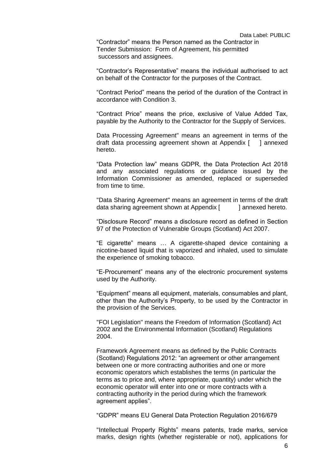"Contractor" means the Person named as the Contractor in Tender Submission: Form of Agreement, his permitted successors and assignees.

"Contractor's Representative" means the individual authorised to act on behalf of the Contractor for the purposes of the Contract.

"Contract Period" means the period of the duration of the Contract in accordance with Condition 3.

"Contract Price" means the price, exclusive of Value Added Tax, payable by the Authority to the Contractor for the Supply of Services.

Data Processing Agreement" means an agreement in terms of the draft data processing agreement shown at Appendix [ ] annexed hereto.

"Data Protection law" means GDPR, the Data Protection Act 2018 and any associated regulations or guidance issued by the Information Commissioner as amended, replaced or superseded from time to time.

"Data Sharing Agreement" means an agreement in terms of the draft data sharing agreement shown at Appendix [ ] annexed hereto.

"Disclosure Record" means a disclosure record as defined in Section 97 of the Protection of Vulnerable Groups (Scotland) Act 2007.

"E cigarette" means … A [cigarette-](http://www.oxforddictionaries.com/definition/english/%20http:/www.oxforddictionaries.com/definition/english/cigarette#cigarette__2)shaped device containing a [nicotine-](http://www.oxforddictionaries.com/definition/english/%20http:/www.oxforddictionaries.com/definition/english/nicotine#nicotine__2)based liquid that is [vaporized](http://www.oxforddictionaries.com/definition/english/%20http:/www.oxforddictionaries.com/definition/english/vaporize#vaporize__2) and [inhaled,](http://www.oxforddictionaries.com/definition/english/%20http:/www.oxforddictionaries.com/definition/english/inhale#inhale__2) used to [simulate](http://www.oxforddictionaries.com/definition/english/%20http:/www.oxforddictionaries.com/definition/english/simulate#simulate__2) the experience of [smoking](http://www.oxforddictionaries.com/definition/english/%20http:/www.oxforddictionaries.com/definition/english/smoking#smoking__2) [tobacco.](http://www.oxforddictionaries.com/definition/english/%20http:/www.oxforddictionaries.com/definition/english/tobacco#tobacco__2)

"E-Procurement" means any of the electronic procurement systems used by the Authority.

"Equipment" means all equipment, materials, consumables and plant, other than the Authority's Property, to be used by the Contractor in the provision of the Services.

"FOI Legislation" means the Freedom of Information (Scotland) Act 2002 and the Environmental Information (Scotland) Regulations 2004.

 Framework Agreement means as defined by the Public Contracts (Scotland) Regulations 2012: "an agreement or other arrangement between one or more contracting authorities and one or more economic operators which establishes the terms (in particular the terms as to price and, where appropriate, quantity) under which the economic operator will enter into one or more contracts with a contracting authority in the period during which the framework agreement applies".

"GDPR" means EU General Data Protection Regulation 2016/679

"Intellectual Property Rights" means patents, trade marks, service marks, design rights (whether registerable or not), applications for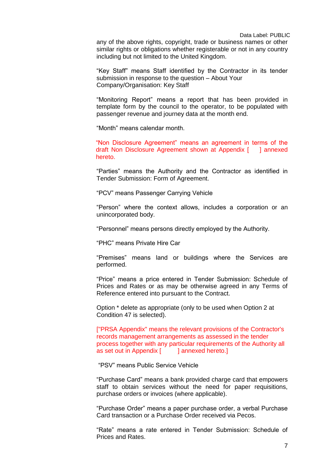any of the above rights, copyright, trade or business names or other similar rights or obligations whether registerable or not in any country including but not limited to the United Kingdom.

"Key Staff" means Staff identified by the Contractor in its tender submission in response to the question – About Your Company/Organisation: Key Staff

"Monitoring Report" means a report that has been provided in template form by the council to the operator, to be populated with passenger revenue and journey data at the month end.

"Month" means calendar month.

"Non Disclosure Agreement" means an agreement in terms of the draft Non Disclosure Agreement shown at Appendix [ ] annexed hereto.

"Parties" means the Authority and the Contractor as identified in Tender Submission: Form of Agreement.

"PCV" means Passenger Carrying Vehicle

"Person" where the context allows, includes a corporation or an unincorporated body.

"Personnel" means persons directly employed by the Authority.

"PHC" means Private Hire Car

"Premises" means land or buildings where the Services are performed.

"Price" means a price entered in Tender Submission: Schedule of Prices and Rates or as may be otherwise agreed in any Terms of Reference entered into pursuant to the Contract.

Option \* delete as appropriate (only to be used when Option 2 at Condition 47 is selected).

["PRSA Appendix" means the relevant provisions of the Contractor's records management arrangements as assessed in the tender process together with any particular requirements of the Authority all as set out in Appendix [ ] annexed hereto.]

"PSV" means Public Service Vehicle

"Purchase Card" means a bank provided charge card that empowers staff to obtain services without the need for paper requisitions, purchase orders or invoices (where applicable).

"Purchase Order" means a paper purchase order, a verbal Purchase Card transaction or a Purchase Order received via Pecos.

"Rate" means a rate entered in Tender Submission: Schedule of Prices and Rates.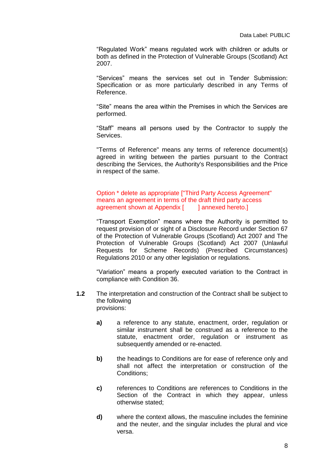"Regulated Work" means regulated work with children or adults or both as defined in the Protection of Vulnerable Groups (Scotland) Act 2007.

"Services" means the services set out in Tender Submission: Specification or as more particularly described in any Terms of Reference.

"Site" means the area within the Premises in which the Services are performed.

"Staff" means all persons used by the Contractor to supply the **Services** 

"Terms of Reference" means any terms of reference document(s) agreed in writing between the parties pursuant to the Contract describing the Services, the Authority's Responsibilities and the Price in respect of the same.

#### Option \* delete as appropriate ["Third Party Access Agreement" means an agreement in terms of the draft third party access agreement shown at Appendix [ ] annexed hereto.]

"Transport Exemption" means where the Authority is permitted to request provision of or sight of a Disclosure Record under Section 67 of the Protection of Vulnerable Groups (Scotland) Act 2007 and The Protection of Vulnerable Groups (Scotland) Act 2007 (Unlawful Requests for Scheme Records) (Prescribed Circumstances) Regulations 2010 or any other legislation or regulations.

"Variation" means a properly executed variation to the Contract in compliance with Condition 36.

- **1.2** The interpretation and construction of the Contract shall be subject to the following provisions:
	- **a)** a reference to any statute, enactment, order, regulation or similar instrument shall be construed as a reference to the statute, enactment order, regulation or instrument as subsequently amended or re-enacted.
	- **b)** the headings to Conditions are for ease of reference only and shall not affect the interpretation or construction of the Conditions;
	- **c)** references to Conditions are references to Conditions in the Section of the Contract in which they appear, unless otherwise stated;
	- **d)** where the context allows, the masculine includes the feminine and the neuter, and the singular includes the plural and vice versa.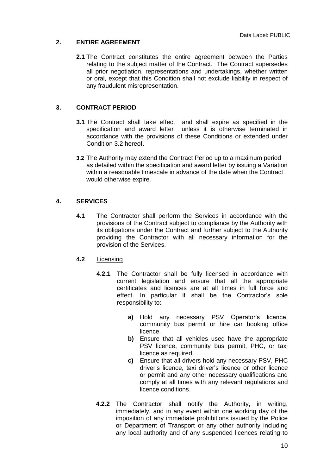## **2. ENTIRE AGREEMENT**

**2.1** The Contract constitutes the entire agreement between the Parties relating to the subject matter of the Contract. The Contract supersedes all prior negotiation, representations and undertakings, whether written or oral, except that this Condition shall not exclude liability in respect of any fraudulent misrepresentation.

# **3. CONTRACT PERIOD**

- **3.1** The Contract shall take effect and shall expire as specified in the specification and award letter unless it is otherwise terminated in accordance with the provisions of these Conditions or extended under Condition 3.2 hereof.
- **3.2** The Authority may extend the Contract Period up to a maximum period as detailed within the specification and award letter by issuing a Variation within a reasonable timescale in advance of the date when the Contract would otherwise expire.

## **4. SERVICES**

**4.1** The Contractor shall perform the Services in accordance with the provisions of the Contract subject to compliance by the Authority with its obligations under the Contract and further subject to the Authority providing the Contractor with all necessary information for the provision of the Services.

#### **4.2** Licensing

- **4.2.1** The Contractor shall be fully licensed in accordance with current legislation and ensure that all the appropriate certificates and licences are at all times in full force and effect. In particular it shall be the Contractor's sole responsibility to:
	- **a)** Hold any necessary PSV Operator's licence, community bus permit or hire car booking office licence.
	- **b)** Ensure that all vehicles used have the appropriate PSV licence, community bus permit, PHC, or taxi licence as required.
	- **c)** Ensure that all drivers hold any necessary PSV, PHC driver's licence, taxi driver's licence or other licence or permit and any other necessary qualifications and comply at all times with any relevant regulations and licence conditions.
- **4.2.2** The Contractor shall notify the Authority, in writing, immediately, and in any event within one working day of the imposition of any immediate prohibitions issued by the Police or Department of Transport or any other authority including any local authority and of any suspended licences relating to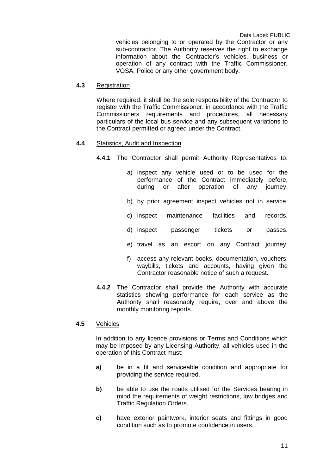vehicles belonging to or operated by the Contractor or any sub-contractor. The Authority reserves the right to exchange information about the Contractor's vehicles, business or operation of any contract with the Traffic Commissioner, VOSA, Police or any other government body.

#### **4.3** Registration

Where required, it shall be the sole responsibility of the Contractor to register with the Traffic Commissioner, in accordance with the Traffic Commissioners requirements and procedures, all necessary particulars of the local bus service and any subsequent variations to the Contract permitted or agreed under the Contract.

#### **4.4** Statistics, Audit and Inspection

**4.4.1** The Contractor shall permit Authority Representatives to:

- a) inspect any vehicle used or to be used for the performance of the Contract immediately before, during or after operation of any journey.
- b) by prior agreement inspect vehicles not in service.
- c) inspect maintenance facilities and records.
- d) inspect passenger tickets or passes.
- e) travel as an escort on any Contract journey.
- f) access any relevant books, documentation, vouchers, waybills, tickets and accounts, having given the Contractor reasonable notice of such a request.
- **4.4.2** The Contractor shall provide the Authority with accurate statistics showing performance for each service as the Authority shall reasonably require, over and above the monthly monitoring reports.

#### **4.5** Vehicles

In addition to any licence provisions or Terms and Conditions which may be imposed by any Licensing Authority, all vehicles used in the operation of this Contract must:

- **a)** be in a fit and serviceable condition and appropriate for providing the service required.
- **b)** be able to use the roads utilised for the Services bearing in mind the requirements of weight restrictions, low bridges and Traffic Regulation Orders.
- **c)** have exterior paintwork, interior seats and fittings in good condition such as to promote confidence in users.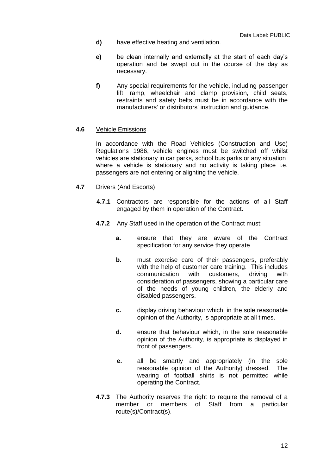- **d)** have effective heating and ventilation.
- **e)** be clean internally and externally at the start of each day's operation and be swept out in the course of the day as necessary.
- **f)** Any special requirements for the vehicle, including passenger lift, ramp, wheelchair and clamp provision, child seats, restraints and safety belts must be in accordance with the manufacturers' or distributors' instruction and guidance.

#### **4.6** Vehicle Emissions

In accordance with the Road Vehicles (Construction and Use) Regulations 1986, vehicle engines must be switched off whilst vehicles are stationary in car parks, school bus parks or any situation where a vehicle is stationary and no activity is taking place i.e. passengers are not entering or alighting the vehicle.

#### **4.7** Drivers (And Escorts)

- **4.7.1** Contractors are responsible for the actions of all Staff engaged by them in operation of the Contract.
- **4.7.2** Any Staff used in the operation of the Contract must:
	- **a.** ensure that they are aware of the Contract specification for any service they operate
	- **b.** must exercise care of their passengers, preferably with the help of customer care training. This includes communication with customers, driving with consideration of passengers, showing a particular care of the needs of young children, the elderly and disabled passengers.
	- **c.** display driving behaviour which, in the sole reasonable opinion of the Authority, is appropriate at all times.
	- **d.** ensure that behaviour which, in the sole reasonable opinion of the Authority, is appropriate is displayed in front of passengers.
	- **e.** all be smartly and appropriately (in the sole reasonable opinion of the Authority) dressed. The wearing of football shirts is not permitted while operating the Contract.
- **4.7.3** The Authority reserves the right to require the removal of a member or members of Staff from a particular route(s)/Contract(s).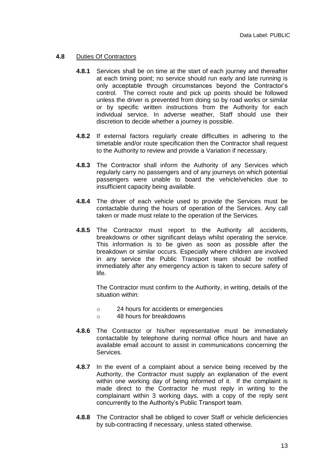#### **4.8** Duties Of Contractors

- **4.8.1** Services shall be on time at the start of each journey and thereafter at each timing point; no service should run early and late running is only acceptable through circumstances beyond the Contractor's control. The correct route and pick up points should be followed unless the driver is prevented from doing so by road works or similar or by specific written instructions from the Authority for each individual service. In adverse weather, Staff should use their discretion to decide whether a journey is possible.
- **4.8.2** If external factors regularly create difficulties in adhering to the timetable and/or route specification then the Contractor shall request to the Authority to review and provide a Variation if necessary.
- **4.8.3** The Contractor shall inform the Authority of any Services which regularly carry no passengers and of any journeys on which potential passengers were unable to board the vehicle/vehicles due to insufficient capacity being available.
- **4.8.4** The driver of each vehicle used to provide the Services must be contactable during the hours of operation of the Services. Any call taken or made must relate to the operation of the Services.
- **4.8.5** The Contractor must report to the Authority all accidents, breakdowns or other significant delays whilst operating the service. This information is to be given as soon as possible after the breakdown or similar occurs. Especially where children are involved in any service the Public Transport team should be notified immediately after any emergency action is taken to secure safety of life.

The Contractor must confirm to the Authority, in writing, details of the situation within:

- o 24 hours for accidents or emergencies
- o 48 hours for breakdowns
- **4.8.6** The Contractor or his/her representative must be immediately contactable by telephone during normal office hours and have an available email account to assist in communications concerning the Services.
- **4.8.7** In the event of a complaint about a service being received by the Authority, the Contractor must supply an explanation of the event within one working day of being informed of it. If the complaint is made direct to the Contractor he must reply in writing to the complainant within 3 working days, with a copy of the reply sent concurrently to the Authority's Public Transport team.
- **4.8.8** The Contractor shall be obliged to cover Staff or vehicle deficiencies by sub-contracting if necessary, unless stated otherwise.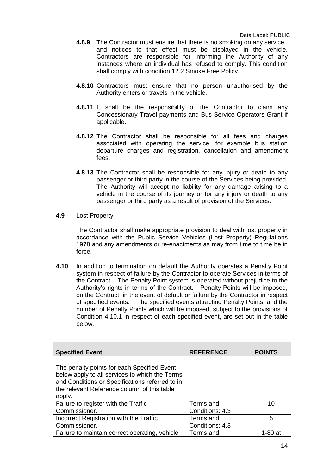- **4.8.9** The Contractor must ensure that there is no smoking on any service , and notices to that effect must be displayed in the vehicle. Contractors are responsible for informing the Authority of any instances where an individual has refused to comply. This condition shall comply with condition 12.2 Smoke Free Policy.
- **4.8.10** Contractors must ensure that no person unauthorised by the Authority enters or travels in the vehicle.
- **4.8.11** It shall be the responsibility of the Contractor to claim any Concessionary Travel payments and Bus Service Operators Grant if applicable.
- **4.8.12** The Contractor shall be responsible for all fees and charges associated with operating the service, for example bus station departure charges and registration, cancellation and amendment fees.
- **4.8.13** The Contractor shall be responsible for any injury or death to any passenger or third party in the course of the Services being provided. The Authority will accept no liability for any damage arising to a vehicle in the course of its journey or for any injury or death to any passenger or third party as a result of provision of the Services.

#### **4.9** Lost Property

The Contractor shall make appropriate provision to deal with lost property in accordance with the Public Service Vehicles (Lost Property) Regulations 1978 and any amendments or re-enactments as may from time to time be in force.

**4.10** In addition to termination on default the Authority operates a Penalty Point system in respect of failure by the Contractor to operate Services in terms of the Contract. The Penalty Point system is operated without prejudice to the Authority's rights in terms of the Contract. Penalty Points will be imposed, on the Contract, in the event of default or failure by the Contractor in respect of specified events. The specified events attracting Penalty Points, and the number of Penalty Points which will be imposed, subject to the provisions of Condition 4.10.1 in respect of each specified event, are set out in the table below.

| <b>Specified Event</b>                                                                                                                                                                                    | <b>REFERENCE</b> | <b>POINTS</b> |
|-----------------------------------------------------------------------------------------------------------------------------------------------------------------------------------------------------------|------------------|---------------|
|                                                                                                                                                                                                           |                  |               |
| The penalty points for each Specified Event<br>below apply to all services to which the Terms<br>and Conditions or Specifications referred to in<br>the relevant Reference column of this table<br>apply. |                  |               |
| Failure to register with the Traffic                                                                                                                                                                      | Terms and        | 10            |
| Commissioner.                                                                                                                                                                                             | Conditions: 4.3  |               |
| Incorrect Registration with the Traffic                                                                                                                                                                   | Terms and        | 5             |
| Commissioner.                                                                                                                                                                                             | Conditions: 4.3  |               |
| Failure to maintain correct operating, vehicle                                                                                                                                                            | Terms and        | $1-80$ at     |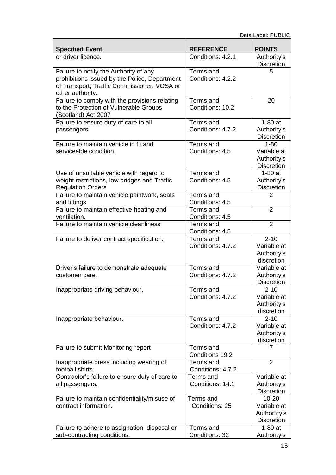| <b>Specified Event</b>                                                                   | <b>REFERENCE</b>             | <b>POINTS</b>                              |
|------------------------------------------------------------------------------------------|------------------------------|--------------------------------------------|
| or driver licence.                                                                       | Conditions: 4.2.1            | Authority's                                |
|                                                                                          |                              | <b>Discretion</b>                          |
| Failure to notify the Authority of any                                                   | Terms and                    | 5                                          |
| prohibitions issued by the Police, Department                                            | Conditions: 4.2.2            |                                            |
| of Transport, Traffic Commissioner, VOSA or<br>other authority.                          |                              |                                            |
| Failure to comply with the provisions relating                                           | Terms and                    | 20                                         |
| to the Protection of Vulnerable Groups                                                   | Conditions: 10.2             |                                            |
| (Scotland) Act 2007                                                                      |                              |                                            |
| Failure to ensure duty of care to all                                                    | Terms and                    | $1-80$ at                                  |
| passengers                                                                               | Conditions: 4.7.2            | Authority's                                |
|                                                                                          |                              | <b>Discretion</b>                          |
| Failure to maintain vehicle in fit and                                                   | Terms and                    | $1 - 80$                                   |
| serviceable condition.                                                                   | Conditions: 4.5              | Variable at                                |
|                                                                                          |                              | Authority's                                |
|                                                                                          |                              | <b>Discretion</b><br>$\overline{1}$ -80 at |
| Use of unsuitable vehicle with regard to<br>weight restrictions, low bridges and Traffic | Terms and<br>Conditions: 4.5 |                                            |
| <b>Regulation Orders</b>                                                                 |                              | Authority's<br><b>Discretion</b>           |
| Failure to maintain vehicle paintwork, seats                                             | Terms and                    | 2                                          |
| and fittings.                                                                            | Conditions: 4.5              |                                            |
| Failure to maintain effective heating and                                                | Terms and                    | $\overline{2}$                             |
| ventilation.                                                                             | Conditions: 4.5              |                                            |
| Failure to maintain vehicle cleanliness                                                  | Terms and                    | $\overline{2}$                             |
|                                                                                          | Conditions: 4.5              |                                            |
| Failure to deliver contract specification.                                               | Terms and                    | $2 - 10$                                   |
|                                                                                          | Conditions: 4.7.2            | Variable at                                |
|                                                                                          |                              | Authority's                                |
| Driver's failure to demonstrate adequate                                                 | Terms and                    | discretion<br>Variable at                  |
| customer care.                                                                           | Conditions: 4.7.2            | Authority's                                |
|                                                                                          |                              | <b>Discretion</b>                          |
| Inappropriate driving behaviour.                                                         | Terms and                    | $2 - 10$                                   |
|                                                                                          | Conditions: 4.7.2            | Variable at                                |
|                                                                                          |                              | Authority's                                |
|                                                                                          |                              | discretion                                 |
| Inappropriate behaviour.                                                                 | Terms and                    | $2 - 10$                                   |
|                                                                                          | Conditions: 4.7.2            | Variable at                                |
|                                                                                          |                              | Authority's<br>discretion                  |
| Failure to submit Monitoring report                                                      | Terms and                    | 7                                          |
|                                                                                          | Conditions 19.2              |                                            |
| Inappropriate dress including wearing of                                                 | Terms and                    | $\overline{2}$                             |
| football shirts.                                                                         | Conditions: 4.7.2            |                                            |
| Contractor's failure to ensure duty of care to                                           | Terms and                    | Variable at                                |
| all passengers.                                                                          | Conditions: 14.1             | Authority's                                |
|                                                                                          |                              | <b>Discretion</b>                          |
| Failure to maintain confidentiality/misuse of                                            | Terms and                    | $10 - 20$                                  |
| contract information.                                                                    | Conditions: 25               | Variable at                                |
|                                                                                          |                              | Authortity's<br><b>Discretion</b>          |
| Failure to adhere to assignation, disposal or                                            | Terms and                    | $1-80$ at                                  |
| sub-contracting conditions.                                                              | Conditions: 32               | Authority's                                |
|                                                                                          |                              |                                            |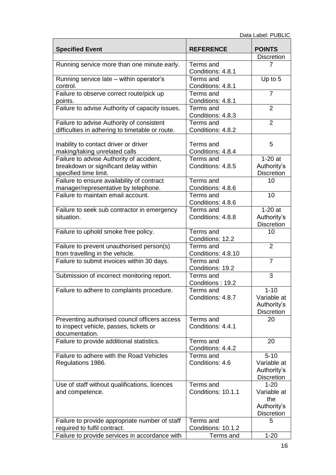|                                                 | <b>REFERENCE</b>   | <b>POINTS</b>                    |
|-------------------------------------------------|--------------------|----------------------------------|
| <b>Specified Event</b>                          |                    | <b>Discretion</b>                |
| Running service more than one minute early.     | Terms and          |                                  |
|                                                 | Conditions: 4.8.1  |                                  |
| Running service late - within operator's        | Terms and          | Up to 5                          |
| control.                                        | Conditions: 4.8.1  |                                  |
| Failure to observe correct route/pick up        | Terms and          | 7                                |
| points.                                         | Conditions: 4.8.1  |                                  |
| Failure to advise Authority of capacity issues. | Terms and          | $\overline{2}$                   |
|                                                 | Conditions: 4.8.3  | $\overline{2}$                   |
| Failure to advise Authority of consistent       | Terms and          |                                  |
| difficulties in adhering to timetable or route. | Conditions: 4.8.2  |                                  |
| Inability to contact driver or driver           | Terms and          | 5                                |
| making/taking unrelated calls                   | Conditions: 4.8.4  |                                  |
| Failure to advise Authority of accident,        | Terms and          | $1-20$ at                        |
| breakdown or significant delay within           | Conditions: 4.8.5  | Authority's                      |
| specified time limit.                           |                    | <b>Discretion</b>                |
| Failure to ensure availability of contract      | Terms and          | 10                               |
| manager/representative by telephone.            | Conditions: 4.8.6  |                                  |
| Failure to maintain email account.              | Terms and          | 10                               |
|                                                 | Conditions: 4.8.6  |                                  |
| Failure to seek sub contractor in emergency     | Terms and          | $1-20$ at                        |
| situation.                                      | Conditions: 4.8.8  | Authority's<br><b>Discretion</b> |
| Failure to uphold smoke free policy.            | Terms and          | 10                               |
|                                                 | Conditions: 12.2   |                                  |
| Failure to prevent unauthorised person(s)       | Terms and          | $\overline{2}$                   |
| from travelling in the vehicle.                 | Conditions: 4.8.10 |                                  |
| Failure to submit invoices within 30 days.      | Terms and          | $\overline{7}$                   |
|                                                 | Conditions: 19.2   |                                  |
| Submission of incorrect monitoring report.      | Terms and          | 3                                |
|                                                 | Conditions: 19.2   |                                  |
| Failure to adhere to complaints procedure.      | Terms and          | $1 - 10$                         |
|                                                 | Conditions: 4.8.7  | Variable at                      |
|                                                 |                    | Authority's<br><b>Discretion</b> |
| Preventing authorised council officers access   | Terms and          | 20                               |
| to inspect vehicle, passes, tickets or          | Conditions: 4.4.1  |                                  |
| documentation.                                  |                    |                                  |
| Failure to provide additional statistics.       | Terms and          | 20                               |
|                                                 | Conditions: 4.4.2  |                                  |
| Failure to adhere with the Road Vehicles        | Terms and          | $5 - 10$                         |
| Regulations 1986.                               | Conditions: 4.6    | Variable at                      |
|                                                 |                    | Authority's                      |
|                                                 |                    | <b>Discretion</b>                |
| Use of staff without qualifications, licences   | Terms and          | $1 - 20$                         |
| and competence.                                 | Conditions: 10.1.1 | Variable at                      |
|                                                 |                    | the                              |
|                                                 |                    | Authority's<br><b>Discretion</b> |
| Failure to provide appropriate number of staff  | Terms and          | 5                                |
| required to fulfil contract.                    | Conditions: 10.1.2 |                                  |
| Failure to provide services in accordance with  | Terms and          | $1 - 20$                         |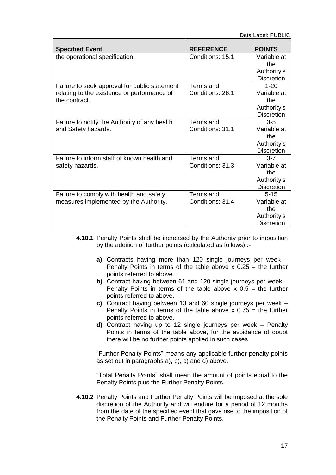| <b>Specified Event</b>                                       | <b>REFERENCE</b> | <b>POINTS</b>      |
|--------------------------------------------------------------|------------------|--------------------|
| the operational specification.                               | Conditions: 15.1 | Variable at        |
|                                                              |                  | the                |
|                                                              |                  | Authority's        |
|                                                              |                  | <b>Discretion</b>  |
| Failure to seek approval for public statement                | Terms and        | $1 - 20$           |
| relating to the existence or performance of<br>the contract. | Conditions: 26.1 | Variable at<br>the |
|                                                              |                  | Authority's        |
|                                                              |                  | <b>Discretion</b>  |
| Failure to notify the Authority of any health                | Terms and        | $3-5$              |
| and Safety hazards.                                          | Conditions: 31.1 | Variable at        |
|                                                              |                  | the                |
|                                                              |                  | Authority's        |
|                                                              |                  | <b>Discretion</b>  |
| Failure to inform staff of known health and                  | Terms and        | $3 - 7$            |
| safety hazards.                                              | Conditions: 31.3 | Variable at        |
|                                                              |                  | the                |
|                                                              |                  | Authority's        |
|                                                              |                  | <b>Discretion</b>  |
| Failure to comply with health and safety                     | Terms and        | $5 - 15$           |
| measures implemented by the Authority.                       | Conditions: 31.4 | Variable at        |
|                                                              |                  | the                |
|                                                              |                  | Authority's        |
|                                                              |                  | <b>Discretion</b>  |

- **4.10.1** Penalty Points shall be increased by the Authority prior to imposition by the addition of further points (calculated as follows) :
	- **a)** Contracts having more than 120 single journeys per week Penalty Points in terms of the table above  $x$  0.25 = the further points referred to above.
	- **b)** Contract having between 61 and 120 single journeys per week Penalty Points in terms of the table above  $x = 0.5$  = the further points referred to above.
	- **c)** Contract having between 13 and 60 single journeys per week Penalty Points in terms of the table above  $x$  0.75 = the further points referred to above.
	- **d)** Contract having up to 12 single journeys per week Penalty Points in terms of the table above, for the avoidance of doubt there will be no further points applied in such cases

"Further Penalty Points" means any applicable further penalty points as set out in paragraphs a), b), c) and d) above.

"Total Penalty Points" shall mean the amount of points equal to the Penalty Points plus the Further Penalty Points.

**4.10.2** Penalty Points and Further Penalty Points will be imposed at the sole discretion of the Authority and will endure for a period of 12 months from the date of the specified event that gave rise to the imposition of the Penalty Points and Further Penalty Points.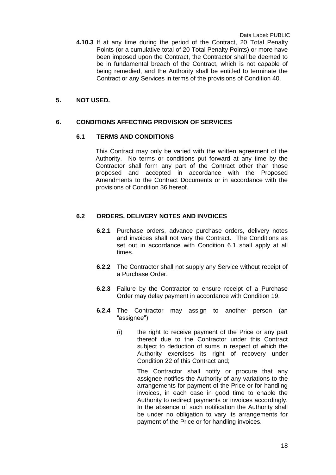**4.10.3** If at any time during the period of the Contract, 20 Total Penalty Points (or a cumulative total of 20 Total Penalty Points) or more have been imposed upon the Contract, the Contractor shall be deemed to be in fundamental breach of the Contract, which is not capable of being remedied, and the Authority shall be entitled to terminate the Contract or any Services in terms of the provisions of Condition 40.

#### **5. NOT USED.**

#### **6. CONDITIONS AFFECTING PROVISION OF SERVICES**

#### **6.1 TERMS AND CONDITIONS**

This Contract may only be varied with the written agreement of the Authority. No terms or conditions put forward at any time by the Contractor shall form any part of the Contract other than those proposed and accepted in accordance with the Proposed Amendments to the Contract Documents or in accordance with the provisions of Condition 36 hereof.

#### **6.2 ORDERS, DELIVERY NOTES AND INVOICES**

- **6.2.1** Purchase orders, advance purchase orders, delivery notes and invoices shall not vary the Contract. The Conditions as set out in accordance with Condition 6.1 shall apply at all times.
- **6.2.2** The Contractor shall not supply any Service without receipt of a Purchase Order.
- **6.2.3** Failure by the Contractor to ensure receipt of a Purchase Order may delay payment in accordance with Condition 19.
- **6.2.4** The Contractor may assign to another person (an "assignee").
	- (i) the right to receive payment of the Price or any part thereof due to the Contractor under this Contract subject to deduction of sums in respect of which the Authority exercises its right of recovery under Condition 22 of this Contract and;

The Contractor shall notify or procure that any assignee notifies the Authority of any variations to the arrangements for payment of the Price or for handling invoices, in each case in good time to enable the Authority to redirect payments or invoices accordingly. In the absence of such notification the Authority shall be under no obligation to vary its arrangements for payment of the Price or for handling invoices.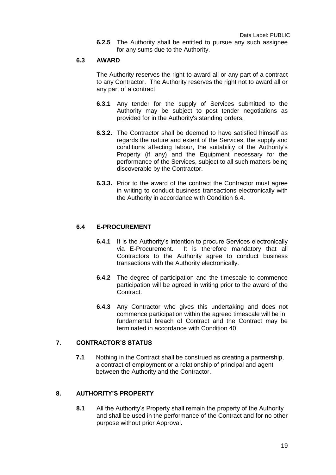**6.2.5** The Authority shall be entitled to pursue any such assignee for any sums due to the Authority.

#### **6.3 AWARD**

The Authority reserves the right to award all or any part of a contract to any Contractor. The Authority reserves the right not to award all or any part of a contract.

- **6.3.1** Any tender for the supply of Services submitted to the Authority may be subject to post tender negotiations as provided for in the Authority's standing orders.
- **6.3.2.** The Contractor shall be deemed to have satisfied himself as regards the nature and extent of the Services, the supply and conditions affecting labour, the suitability of the Authority's Property (if any) and the Equipment necessary for the performance of the Services, subject to all such matters being discoverable by the Contractor.
- **6.3.3.** Prior to the award of the contract the Contractor must agree in writing to conduct business transactions electronically with the Authority in accordance with Condition 6.4.

## **6.4 E-PROCUREMENT**

- **6.4.1** It is the Authority's intention to procure Services electronically via E-Procurement. It is therefore mandatory that all Contractors to the Authority agree to conduct business transactions with the Authority electronically.
- **6.4.2** The degree of participation and the timescale to commence participation will be agreed in writing prior to the award of the Contract.
- **6.4.3** Any Contractor who gives this undertaking and does not commence participation within the agreed timescale will be in fundamental breach of Contract and the Contract may be terminated in accordance with Condition 40.

#### **7. CONTRACTOR'S STATUS**

**7.1** Nothing in the Contract shall be construed as creating a partnership, a contract of employment or a relationship of principal and agent between the Authority and the Contractor.

# **8. AUTHORITY'S PROPERTY**

**8.1** All the Authority's Property shall remain the property of the Authority and shall be used in the performance of the Contract and for no other purpose without prior Approval.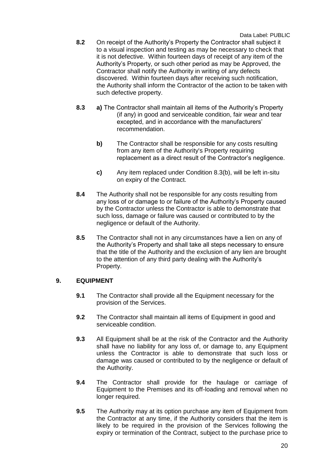- **8.2** On receipt of the Authority's Property the Contractor shall subject it to a visual inspection and testing as may be necessary to check that it is not defective. Within fourteen days of receipt of any item of the Authority's Property, or such other period as may be Approved, the Contractor shall notify the Authority in writing of any defects discovered. Within fourteen days after receiving such notification, the Authority shall inform the Contractor of the action to be taken with such defective property.
- **8.3 a)** The Contractor shall maintain all items of the Authority's Property (if any) in good and serviceable condition, fair wear and tear excepted, and in accordance with the manufacturers' recommendation.
	- **b)** The Contractor shall be responsible for any costs resulting from any item of the Authority's Property requiring replacement as a direct result of the Contractor's negligence.
	- **c)** Any item replaced under Condition 8.3(b), will be left in-situ on expiry of the Contract.
- **8.4** The Authority shall not be responsible for any costs resulting from any loss of or damage to or failure of the Authority's Property caused by the Contractor unless the Contractor is able to demonstrate that such loss, damage or failure was caused or contributed to by the negligence or default of the Authority.
- **8.5** The Contractor shall not in any circumstances have a lien on any of the Authority's Property and shall take all steps necessary to ensure that the title of the Authority and the exclusion of any lien are brought to the attention of any third party dealing with the Authority's Property.

#### **9. EQUIPMENT**

- **9.1** The Contractor shall provide all the Equipment necessary for the provision of the Services.
- **9.2** The Contractor shall maintain all items of Equipment in good and serviceable condition.
- **9.3** All Equipment shall be at the risk of the Contractor and the Authority shall have no liability for any loss of, or damage to, any Equipment unless the Contractor is able to demonstrate that such loss or damage was caused or contributed to by the negligence or default of the Authority.
- **9.4** The Contractor shall provide for the haulage or carriage of Equipment to the Premises and its off-loading and removal when no longer required.
- **9.5** The Authority may at its option purchase any item of Equipment from the Contractor at any time, if the Authority considers that the item is likely to be required in the provision of the Services following the expiry or termination of the Contract, subject to the purchase price to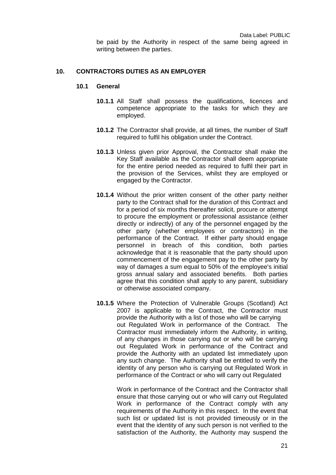# **10. CONTRACTORS DUTIES AS AN EMPLOYER**

writing between the parties.

#### **10.1 General**

- **10.1.1** All Staff shall possess the qualifications, licences and competence appropriate to the tasks for which they are employed.
- **10.1.2** The Contractor shall provide, at all times, the number of Staff required to fulfil his obligation under the Contract.
- **10.1.3** Unless given prior Approval, the Contractor shall make the Key Staff available as the Contractor shall deem appropriate for the entire period needed as required to fulfil their part in the provision of the Services, whilst they are employed or engaged by the Contractor.
- **10.1.4** Without the prior written consent of the other party neither party to the Contract shall for the duration of this Contract and for a period of six months thereafter solicit, procure or attempt to procure the employment or professional assistance (either directly or indirectly) of any of the personnel engaged by the other party (whether employees or contractors) in the performance of the Contract. If either party should engage personnel in breach of this condition, both parties acknowledge that it is reasonable that the party should upon commencement of the engagement pay to the other party by way of damages a sum equal to 50% of the employee's initial gross annual salary and associated benefits. Both parties agree that this condition shall apply to any parent, subsidiary or otherwise associated company.
- **10.1.5** Where the Protection of Vulnerable Groups (Scotland) Act 2007 is applicable to the Contract, the Contractor must provide the Authority with a list of those who will be carrying out Regulated Work in performance of the Contract. The Contractor must immediately inform the Authority, in writing, of any changes in those carrying out or who will be carrying out Regulated Work in performance of the Contract and provide the Authority with an updated list immediately upon any such change. The Authority shall be entitled to verify the identity of any person who is carrying out Regulated Work in performance of the Contract or who will carry out Regulated

Work in performance of the Contract and the Contractor shall ensure that those carrying out or who will carry out Regulated Work in performance of the Contract comply with any requirements of the Authority in this respect. In the event that such list or updated list is not provided timeously or in the event that the identity of any such person is not verified to the satisfaction of the Authority, the Authority may suspend the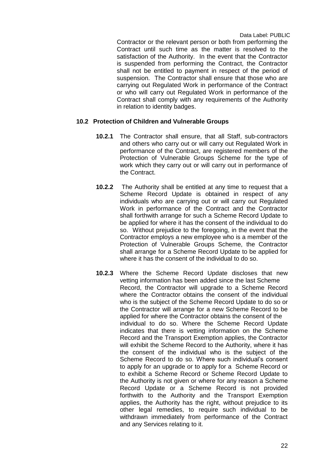Contractor or the relevant person or both from performing the Contract until such time as the matter is resolved to the satisfaction of the Authority. In the event that the Contractor is suspended from performing the Contract, the Contractor shall not be entitled to payment in respect of the period of suspension. The Contractor shall ensure that those who are carrying out Regulated Work in performance of the Contract or who will carry out Regulated Work in performance of the Contract shall comply with any requirements of the Authority in relation to identity badges.

#### **10.2 Protection of Children and Vulnerable Groups**

- **10.2.1** The Contractor shall ensure, that all Staff, sub-contractors and others who carry out or will carry out Regulated Work in performance of the Contract, are registered members of the Protection of Vulnerable Groups Scheme for the type of work which they carry out or will carry out in performance of the Contract.
- **10.2.2** The Authority shall be entitled at any time to request that a Scheme Record Update is obtained in respect of any individuals who are carrying out or will carry out Regulated Work in performance of the Contract and the Contractor shall forthwith arrange for such a Scheme Record Update to be applied for where it has the consent of the individual to do so. Without prejudice to the foregoing, in the event that the Contractor employs a new employee who is a member of the Protection of Vulnerable Groups Scheme, the Contractor shall arrange for a Scheme Record Update to be applied for where it has the consent of the individual to do so.
- **10.2.3** Where the Scheme Record Update discloses that new vetting information has been added since the last Scheme Record, the Contractor will upgrade to a Scheme Record where the Contractor obtains the consent of the individual who is the subject of the Scheme Record Update to do so or the Contractor will arrange for a new Scheme Record to be applied for where the Contractor obtains the consent of the individual to do so. Where the Scheme Record Update indicates that there is vetting information on the Scheme Record and the Transport Exemption applies, the Contractor will exhibit the Scheme Record to the Authority, where it has the consent of the individual who is the subject of the Scheme Record to do so. Where such individual's consent to apply for an upgrade or to apply for a Scheme Record or to exhibit a Scheme Record or Scheme Record Update to the Authority is not given or where for any reason a Scheme Record Update or a Scheme Record is not provided forthwith to the Authority and the Transport Exemption applies, the Authority has the right, without prejudice to its other legal remedies, to require such individual to be withdrawn immediately from performance of the Contract and any Services relating to it.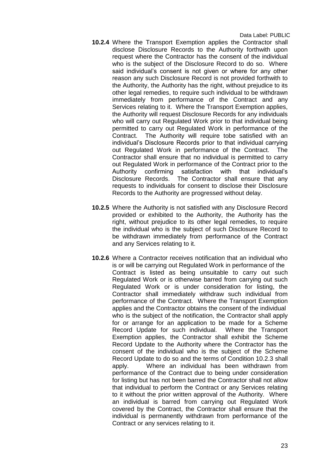- **10.2.4** Where the Transport Exemption applies the Contractor shall disclose Disclosure Records to the Authority forthwith upon request where the Contractor has the consent of the individual who is the subject of the Disclosure Record to do so. Where said individual's consent is not given or where for any other reason any such Disclosure Record is not provided forthwith to the Authority, the Authority has the right, without prejudice to its other legal remedies, to require such individual to be withdrawn immediately from performance of the Contract and any Services relating to it. Where the Transport Exemption applies, the Authority will request Disclosure Records for any individuals who will carry out Regulated Work prior to that individual being permitted to carry out Regulated Work in performance of the Contract. The Authority will require tobe satisfied with an individual's Disclosure Records prior to that individual carrying out Regulated Work in performance of the Contract. The Contractor shall ensure that no individual is permitted to carry out Regulated Work in performance of the Contract prior to the Authority confirming satisfaction with that individual's Disclosure Records. The Contractor shall ensure that any requests to individuals for consent to disclose their Disclosure Records to the Authority are progressed without delay.
- **10.2.5** Where the Authority is not satisfied with any Disclosure Record provided or exhibited to the Authority, the Authority has the right, without prejudice to its other legal remedies, to require the individual who is the subject of such Disclosure Record to be withdrawn immediately from performance of the Contract and any Services relating to it.
- **10.2.6** Where a Contractor receives notification that an individual who is or will be carrying out Regulated Work in performance of the Contract is listed as being unsuitable to carry out such Regulated Work or is otherwise barred from carrying out such Regulated Work or is under consideration for listing, the Contractor shall immediately withdraw such individual from performance of the Contract. Where the Transport Exemption applies and the Contractor obtains the consent of the individual who is the subject of the notification, the Contractor shall apply for or arrange for an application to be made for a Scheme Record Update for such individual. Where the Transport Exemption applies, the Contractor shall exhibit the Scheme Record Update to the Authority where the Contractor has the consent of the individual who is the subject of the Scheme Record Update to do so and the terms of Condition 10.2.3 shall apply. Where an individual has been withdrawn from performance of the Contract due to being under consideration for listing but has not been barred the Contractor shall not allow that individual to perform the Contract or any Services relating to it without the prior written approval of the Authority. Where an individual is barred from carrying out Regulated Work covered by the Contract, the Contractor shall ensure that the individual is permanently withdrawn from performance of the Contract or any services relating to it.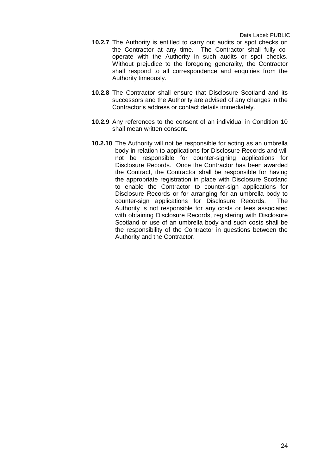- **10.2.7** The Authority is entitled to carry out audits or spot checks on the Contractor at any time. The Contractor shall fully cooperate with the Authority in such audits or spot checks. Without prejudice to the foregoing generality, the Contractor shall respond to all correspondence and enquiries from the Authority timeously.
- **10.2.8** The Contractor shall ensure that Disclosure Scotland and its successors and the Authority are advised of any changes in the Contractor's address or contact details immediately.
- **10.2.9** Any references to the consent of an individual in Condition 10 shall mean written consent.
- **10.2.10** The Authority will not be responsible for acting as an umbrella body in relation to applications for Disclosure Records and will not be responsible for counter-signing applications for Disclosure Records. Once the Contractor has been awarded the Contract, the Contractor shall be responsible for having the appropriate registration in place with Disclosure Scotland to enable the Contractor to counter-sign applications for Disclosure Records or for arranging for an umbrella body to counter-sign applications for Disclosure Records. The Authority is not responsible for any costs or fees associated with obtaining Disclosure Records, registering with Disclosure Scotland or use of an umbrella body and such costs shall be the responsibility of the Contractor in questions between the Authority and the Contractor.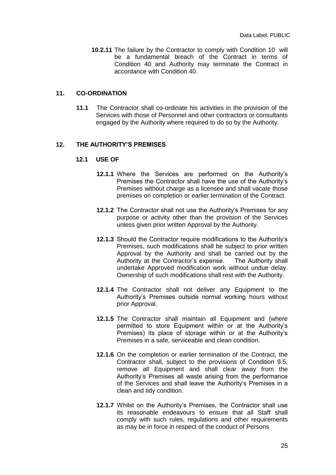**10.2.11** The failure by the Contractor to comply with Condition 10 will be a fundamental breach of the Contract in terms of Condition 40 and Authority may terminate the Contract in accordance with Condition 40.

#### **11. CO-ORDINATION**

**11.1** The Contractor shall co-ordinate his activities in the provision of the Services with those of Personnel and other contractors or consultants engaged by the Authority where required to do so by the Authority.

#### **12. THE AUTHORITY'S PREMISES**

#### **12.1 USE OF**

- **12.1.1** Where the Services are performed on the Authority's Premises the Contractor shall have the use of the Authority's Premises without charge as a licensee and shall vacate those premises on completion or earlier termination of the Contract.
- **12.1.2** The Contractor shall not use the Authority's Premises for any purpose or activity other than the provision of the Services unless given prior written Approval by the Authority.
- **12.1.3** Should the Contractor require modifications to the Authority's Premises, such modifications shall be subject to prior written Approval by the Authority and shall be carried out by the Authority at the Contractor's expense. The Authority shall undertake Approved modification work without undue delay. Ownership of such modifications shall rest with the Authority.
- **12.1.4** The Contractor shall not deliver any Equipment to the Authority's Premises outside normal working hours without prior Approval.
- **12.1.5** The Contractor shall maintain all Equipment and (where permitted to store Equipment within or at the Authority's Premises) its place of storage within or at the Authority's Premises in a safe, serviceable and clean condition.
- **12.1.6** On the completion or earlier termination of the Contract, the Contractor shall, subject to the provisions of Condition 9.5, remove all Equipment and shall clear away from the Authority's Premises all waste arising from the performance of the Services and shall leave the Authority's Premises in a clean and tidy condition.
- **12.1.7** Whilst on the Authority's Premises, the Contractor shall use its reasonable endeavours to ensure that all Staff shall comply with such rules, regulations and other requirements as may be in force in respect of the conduct of Persons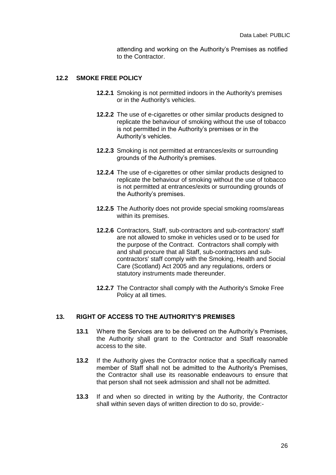attending and working on the Authority's Premises as notified to the Contractor.

#### **12.2 SMOKE FREE POLICY**

- **12.2.1** Smoking is not permitted indoors in the Authority's premises or in the Authority's vehicles.
- **12.2.2** The use of e-cigarettes or other similar products designed to replicate the behaviour of smoking without the use of tobacco is not permitted in the Authority's premises or in the Authority's vehicles.
- **12.2.3** Smoking is not permitted at entrances/exits or surrounding grounds of the Authority's premises.
- **12.2.4** The use of e-cigarettes or other similar products designed to replicate the behaviour of smoking without the use of tobacco is not permitted at entrances/exits or surrounding grounds of the Authority's premises.
- **12.2.5** The Authority does not provide special smoking rooms/areas within its premises.
- **12.2.6** Contractors, Staff, sub-contractors and sub-contractors' staff are not allowed to smoke in vehicles used or to be used for the purpose of the Contract. Contractors shall comply with and shall procure that all Staff, sub-contractors and subcontractors' staff comply with the Smoking, Health and Social Care (Scotland) Act 2005 and any regulations, orders or statutory instruments made thereunder.
- **12.2.7** The Contractor shall comply with the Authority's Smoke Free Policy at all times.

#### **13. RIGHT OF ACCESS TO THE AUTHORITY'S PREMISES**

- **13.1** Where the Services are to be delivered on the Authority's Premises, the Authority shall grant to the Contractor and Staff reasonable access to the site.
- **13.2** If the Authority gives the Contractor notice that a specifically named member of Staff shall not be admitted to the Authority's Premises, the Contractor shall use its reasonable endeavours to ensure that that person shall not seek admission and shall not be admitted.
- **13.3** If and when so directed in writing by the Authority, the Contractor shall within seven days of written direction to do so, provide:-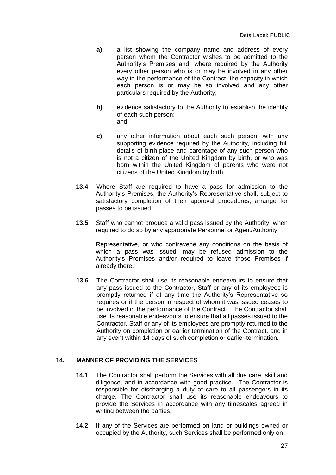- **a)** a list showing the company name and address of every person whom the Contractor wishes to be admitted to the Authority's Premises and, where required by the Authority every other person who is or may be involved in any other way in the performance of the Contract, the capacity in which each person is or may be so involved and any other particulars required by the Authority;
- **b)** evidence satisfactory to the Authority to establish the identity of each such person; and
- **c)** any other information about each such person, with any supporting evidence required by the Authority, including full details of birth-place and parentage of any such person who is not a citizen of the United Kingdom by birth, or who was born within the United Kingdom of parents who were not citizens of the United Kingdom by birth.
- **13.4** Where Staff are required to have a pass for admission to the Authority's Premises, the Authority's Representative shall, subject to satisfactory completion of their approval procedures, arrange for passes to be issued.
- **13.5** Staff who cannot produce a valid pass issued by the Authority, when required to do so by any appropriate Personnel or Agent/Authority

Representative, or who contravene any conditions on the basis of which a pass was issued, may be refused admission to the Authority's Premises and/or required to leave those Premises if already there.

**13.6** The Contractor shall use its reasonable endeavours to ensure that any pass issued to the Contractor, Staff or any of its employees is promptly returned if at any time the Authority's Representative so requires or if the person in respect of whom it was issued ceases to be involved in the performance of the Contract. The Contractor shall use its reasonable endeavours to ensure that all passes issued to the Contractor, Staff or any of its employees are promptly returned to the Authority on completion or earlier termination of the Contract, and in any event within 14 days of such completion or earlier termination.

#### **14. MANNER OF PROVIDING THE SERVICES**

- **14.1** The Contractor shall perform the Services with all due care, skill and diligence, and in accordance with good practice. The Contractor is responsible for discharging a duty of care to all passengers in its charge. The Contractor shall use its reasonable endeavours to provide the Services in accordance with any timescales agreed in writing between the parties.
- **14.2** If any of the Services are performed on land or buildings owned or occupied by the Authority, such Services shall be performed only on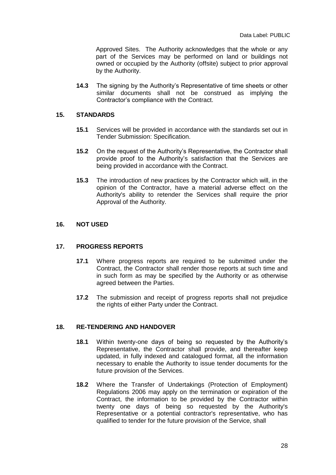Approved Sites. The Authority acknowledges that the whole or any part of the Services may be performed on land or buildings not owned or occupied by the Authority (offsite) subject to prior approval by the Authority.

**14.3** The signing by the Authority's Representative of time sheets or other similar documents shall not be construed as implying the Contractor's compliance with the Contract.

#### **15. STANDARDS**

- **15.1** Services will be provided in accordance with the standards set out in Tender Submission: Specification.
- **15.2** On the request of the Authority's Representative, the Contractor shall provide proof to the Authority's satisfaction that the Services are being provided in accordance with the Contract.
- **15.3** The introduction of new practices by the Contractor which will, in the opinion of the Contractor, have a material adverse effect on the Authority's ability to retender the Services shall require the prior Approval of the Authority.

#### **16. NOT USED**

#### **17. PROGRESS REPORTS**

- **17.1** Where progress reports are required to be submitted under the Contract, the Contractor shall render those reports at such time and in such form as may be specified by the Authority or as otherwise agreed between the Parties.
- **17.2** The submission and receipt of progress reports shall not prejudice the rights of either Party under the Contract.

#### **18. RE-TENDERING AND HANDOVER**

- **18.1** Within twenty-one days of being so requested by the Authority's Representative, the Contractor shall provide, and thereafter keep updated, in fully indexed and catalogued format, all the information necessary to enable the Authority to issue tender documents for the future provision of the Services.
- **18.2** Where the Transfer of Undertakings (Protection of Employment) Regulations 2006 may apply on the termination or expiration of the Contract, the information to be provided by the Contractor within twenty one days of being so requested by the Authority's Representative or a potential contractor's representative, who has qualified to tender for the future provision of the Service, shall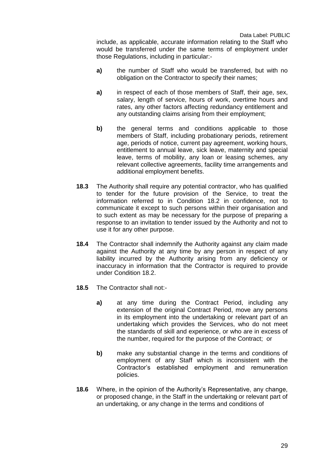include, as applicable, accurate information relating to the Staff who would be transferred under the same terms of employment under those Regulations, including in particular:-

- **a)** the number of Staff who would be transferred, but with no obligation on the Contractor to specify their names;
- **a)** in respect of each of those members of Staff, their age, sex, salary, length of service, hours of work, overtime hours and rates, any other factors affecting redundancy entitlement and any outstanding claims arising from their employment;
- **b)** the general terms and conditions applicable to those members of Staff, including probationary periods, retirement age, periods of notice, current pay agreement, working hours, entitlement to annual leave, sick leave, maternity and special leave, terms of mobility, any loan or leasing schemes, any relevant collective agreements, facility time arrangements and additional employment benefits.
- **18.3** The Authority shall require any potential contractor, who has qualified to tender for the future provision of the Service, to treat the information referred to in Condition 18.2 in confidence, not to communicate it except to such persons within their organisation and to such extent as may be necessary for the purpose of preparing a response to an invitation to tender issued by the Authority and not to use it for any other purpose.
- **18.4** The Contractor shall indemnify the Authority against any claim made against the Authority at any time by any person in respect of any liability incurred by the Authority arising from any deficiency or inaccuracy in information that the Contractor is required to provide under Condition 18.2.
- **18.5** The Contractor shall not:
	- **a)** at any time during the Contract Period, including any extension of the original Contract Period, move any persons in its employment into the undertaking or relevant part of an undertaking which provides the Services, who do not meet the standards of skill and experience, or who are in excess of the number, required for the purpose of the Contract; or
	- **b)** make any substantial change in the terms and conditions of employment of any Staff which is inconsistent with the Contractor's established employment and remuneration policies.
- **18.6** Where, in the opinion of the Authority's Representative, any change, or proposed change, in the Staff in the undertaking or relevant part of an undertaking, or any change in the terms and conditions of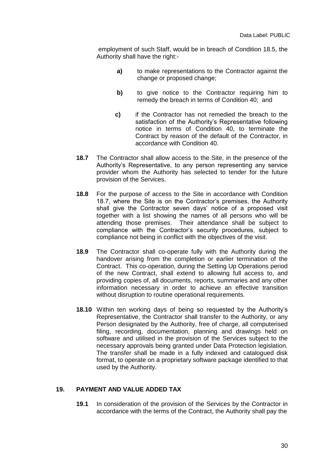employment of such Staff, would be in breach of Condition 18.5, the Authority shall have the right:-

- **a)** to make representations to the Contractor against the change or proposed change;
- **b)** to give notice to the Contractor requiring him to remedy the breach in terms of Condition 40; and
- **c)** if the Contractor has not remedied the breach to the satisfaction of the Authority's Representative following notice in terms of Condition 40, to terminate the Contract by reason of the default of the Contractor, in accordance with Condition 40.
- **18.7** The Contractor shall allow access to the Site, in the presence of the Authority's Representative, to any person representing any service provider whom the Authority has selected to tender for the future provision of the Services.
- **18.8** For the purpose of access to the Site in accordance with Condition 18.7, where the Site is on the Contractor's premises, the Authority shall give the Contractor seven days' notice of a proposed visit together with a list showing the names of all persons who will be attending those premises. Their attendance shall be subject to compliance with the Contractor's security procedures, subject to compliance not being in conflict with the objectives of the visit.
- **18.9** The Contractor shall co-operate fully with the Authority during the handover arising from the completion or earlier termination of the Contract. This co-operation, during the Setting Up Operations period of the new Contract, shall extend to allowing full access to, and providing copies of, all documents, reports, summaries and any other information necessary in order to achieve an effective transition without disruption to routine operational requirements.
- **18.10** Within ten working days of being so requested by the Authority's Representative, the Contractor shall transfer to the Authority, or any Person designated by the Authority, free of charge, all computerised filing, recording, documentation, planning and drawings held on software and utilised in the provision of the Services subject to the necessary approvals being granted under Data Protection legislation. The transfer shall be made in a fully indexed and catalogued disk format, to operate on a proprietary software package identified to that used by the Authority.

#### **19. PAYMENT AND VALUE ADDED TAX**

**19.1** In consideration of the provision of the Services by the Contractor in accordance with the terms of the Contract, the Authority shall pay the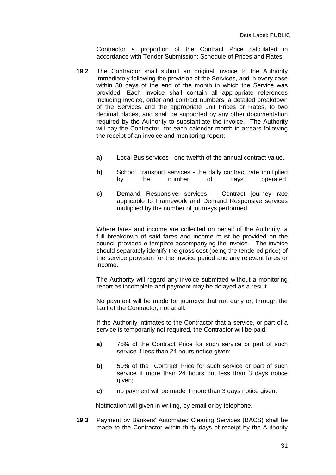Contractor a proportion of the Contract Price calculated in accordance with Tender Submission: Schedule of Prices and Rates.

- **19.2** The Contractor shall submit an original invoice to the Authority immediately following the provision of the Services, and in every case within 30 days of the end of the month in which the Service was provided. Each invoice shall contain all appropriate references including invoice, order and contract numbers, a detailed breakdown of the Services and the appropriate unit Prices or Rates, to two decimal places, and shall be supported by any other documentation required by the Authority to substantiate the invoice. The Authority will pay the Contractor for each calendar month in arrears following the receipt of an invoice and monitoring report:
	- **a)** Local Bus services one twelfth of the annual contract value.
	- **b)** School Transport services the daily contract rate multiplied by the number of days operated.
	- **c)** Demand Responsive services Contract journey rate applicable to Framework and Demand Responsive services multiplied by the number of journeys performed.

Where fares and income are collected on behalf of the Authority, a full breakdown of said fares and income must be provided on the council provided e-template accompanying the invoice. The invoice should separately identify the gross cost (being the tendered price) of the service provision for the invoice period and any relevant fares or income.

The Authority will regard any invoice submitted without a monitoring report as incomplete and payment may be delayed as a result.

No payment will be made for journeys that run early or, through the fault of the Contractor, not at all.

If the Authority intimates to the Contractor that a service, or part of a service is temporarily not required, the Contractor will be paid:

- **a)** 75% of the Contract Price for such service or part of such service if less than 24 hours notice given;
- **b)** 50% of the Contract Price for such service or part of such service if more than 24 hours but less than 3 days notice given;
- **c)** no payment will be made if more than 3 days notice given.

Notification will given in writing, by email or by telephone.

**19.3** Payment by Bankers' Automated Clearing Services (BACS) shall be made to the Contractor within thirty days of receipt by the Authority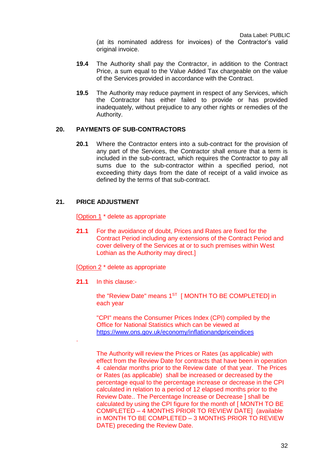(at its nominated address for invoices) of the Contractor's valid original invoice.

- **19.4** The Authority shall pay the Contractor, in addition to the Contract Price, a sum equal to the Value Added Tax chargeable on the value of the Services provided in accordance with the Contract.
- **19.5** The Authority may reduce payment in respect of any Services, which the Contractor has either failed to provide or has provided inadequately, without prejudice to any other rights or remedies of the Authority.

#### **20. PAYMENTS OF SUB-CONTRACTORS**

**20.1** Where the Contractor enters into a sub-contract for the provision of any part of the Services, the Contractor shall ensure that a term is included in the sub-contract, which requires the Contractor to pay all sums due to the sub-contractor within a specified period, not exceeding thirty days from the date of receipt of a valid invoice as defined by the terms of that sub-contract.

#### **21. PRICE ADJUSTMENT**

[Option 1 \* delete as appropriate

**21.1** For the avoidance of doubt, Prices and Rates are fixed for the Contract Period including any extensions of the Contract Period and cover delivery of the Services at or to such premises within West Lothian as the Authority may direct.]

[Option 2 \* delete as appropriate

**21.1** In this clause:-

.

the "Review Date" means 1<sup>ST</sup> [ MONTH TO BE COMPLETED] in each year

"CPI" means the Consumer Prices Index (CPI) compiled by the Office for National Statistics which can be viewed at <https://www.ons.gov.uk/economy/inflationandpriceindices>

The Authority will review the Prices or Rates (as applicable) with effect from the Review Date for contracts that have been in operation 4 calendar months prior to the Review date of that year. The Prices or Rates (as applicable) shall be increased or decreased by the percentage equal to the percentage increase or decrease in the CPI calculated in relation to a period of 12 elapsed months prior to the Review Date.. The Percentage Increase or Decrease ] shall be calculated by using the CPI figure for the month of [ MONTH TO BE COMPLETED – 4 MONTHS PRIOR TO REVIEW DATE] (available in MONTH TO BE COMPLETED – 3 MONTHS PRIOR TO REVIEW DATE) preceding the Review Date.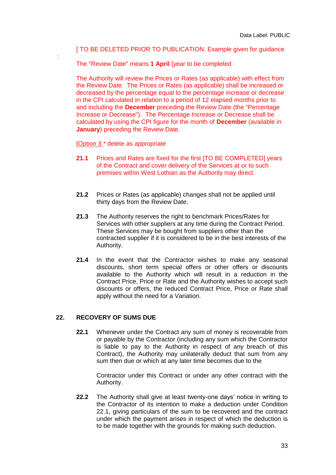#### [ TO BE DELETED PRIOR TO PUBLICATION. Example given for guidance

The "Review Date" means **1 April** [year to be completed

The Authority will review the Prices or Rates (as applicable) with effect from the Review Date. The Prices or Rates (as applicable) shall be increased or decreased by the percentage equal to the percentage increase or decrease in the CPI calculated in relation to a period of 12 elapsed months prior to and including the **December** preceding the Review Date (the "Percentage Increase or Decrease"). The Percentage Increase or Decrease shall be calculated by using the CPI figure for the month of **December** (available in **January**) preceding the Review Date.

[Option 3 \* delete as appropriate

:

- **21.1** Prices and Rates are fixed for the first [TO BE COMPLETED] years of the Contract and cover delivery of the Services at or to such premises within West Lothian as the Authority may direct.
- **21.2** Prices or Rates (as applicable) changes shall not be applied until thirty days from the Review Date.
- **21.3** The Authority reserves the right to benchmark Prices/Rates for Services with other suppliers at any time during the Contract Period. These Services may be bought from suppliers other than the contracted supplier if it is considered to be in the best interests of the Authority.
- **21.4** In the event that the Contractor wishes to make any seasonal discounts, short term special offers or other offers or discounts available to the Authority which will result in a reduction in the Contract Price, Price or Rate and the Authority wishes to accept such discounts or offers, the reduced Contract Price, Price or Rate shall apply without the need for a Variation.

#### **22. RECOVERY OF SUMS DUE**

**22.1** Whenever under the Contract any sum of money is recoverable from or payable by the Contractor (including any sum which the Contractor is liable to pay to the Authority in respect of any breach of this Contract), the Authority may unilaterally deduct that sum from any sum then due or which at any later time becomes due to the

Contractor under this Contract or under any other contract with the Authority.

**22.2** The Authority shall give at least twenty-one days' notice in writing to the Contractor of its intention to make a deduction under Condition 22.1, giving particulars of the sum to be recovered and the contract under which the payment arises in respect of which the deduction is to be made together with the grounds for making such deduction.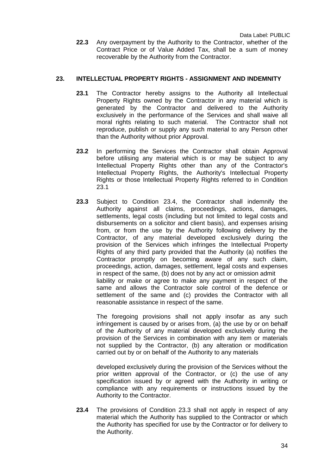**22.3** Any overpayment by the Authority to the Contractor, whether of the Contract Price or of Value Added Tax, shall be a sum of money recoverable by the Authority from the Contractor.

## **23. INTELLECTUAL PROPERTY RIGHTS - ASSIGNMENT AND INDEMNITY**

- **23.1** The Contractor hereby assigns to the Authority all Intellectual Property Rights owned by the Contractor in any material which is generated by the Contractor and delivered to the Authority exclusively in the performance of the Services and shall waive all moral rights relating to such material. The Contractor shall not reproduce, publish or supply any such material to any Person other than the Authority without prior Approval.
- **23.2** In performing the Services the Contractor shall obtain Approval before utilising any material which is or may be subject to any Intellectual Property Rights other than any of the Contractor's Intellectual Property Rights, the Authority's Intellectual Property Rights or those Intellectual Property Rights referred to in Condition 23.1
- **23.3** Subject to Condition 23.4, the Contractor shall indemnify the Authority against all claims, proceedings, actions, damages, settlements, legal costs (including but not limited to legal costs and disbursements on a solicitor and client basis), and expenses arising from, or from the use by the Authority following delivery by the Contractor, of any material developed exclusively during the provision of the Services which infringes the Intellectual Property Rights of any third party provided that the Authority (a) notifies the Contractor promptly on becoming aware of any such claim, proceedings, action, damages, settlement, legal costs and expenses in respect of the same, (b) does not by any act or omission admit liability or make or agree to make any payment in respect of the same and allows the Contractor sole control of the defence or settlement of the same and (c) provides the Contractor with all reasonable assistance in respect of the same.

The foregoing provisions shall not apply insofar as any such infringement is caused by or arises from, (a) the use by or on behalf of the Authority of any material developed exclusively during the provision of the Services in combination with any item or materials not supplied by the Contractor, (b) any alteration or modification carried out by or on behalf of the Authority to any materials

developed exclusively during the provision of the Services without the prior written approval of the Contractor, or (c) the use of any specification issued by or agreed with the Authority in writing or compliance with any requirements or instructions issued by the Authority to the Contractor.

**23.4** The provisions of Condition 23.3 shall not apply in respect of any material which the Authority has supplied to the Contractor or which the Authority has specified for use by the Contractor or for delivery to the Authority.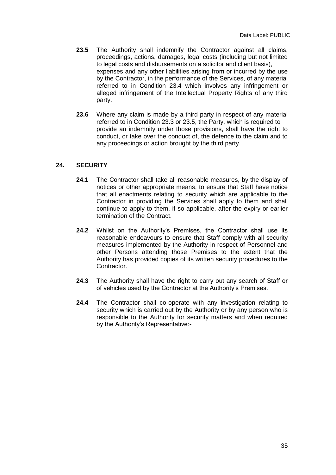- **23.5** The Authority shall indemnify the Contractor against all claims, proceedings, actions, damages, legal costs (including but not limited to legal costs and disbursements on a solicitor and client basis), expenses and any other liabilities arising from or incurred by the use by the Contractor, in the performance of the Services, of any material referred to in Condition 23.4 which involves any infringement or alleged infringement of the Intellectual Property Rights of any third party.
- **23.6** Where any claim is made by a third party in respect of any material referred to in Condition 23.3 or 23.5, the Party, which is required to provide an indemnity under those provisions, shall have the right to conduct, or take over the conduct of, the defence to the claim and to any proceedings or action brought by the third party.

#### **24. SECURITY**

- **24.1** The Contractor shall take all reasonable measures, by the display of notices or other appropriate means, to ensure that Staff have notice that all enactments relating to security which are applicable to the Contractor in providing the Services shall apply to them and shall continue to apply to them, if so applicable, after the expiry or earlier termination of the Contract.
- **24.2** Whilst on the Authority's Premises, the Contractor shall use its reasonable endeavours to ensure that Staff comply with all security measures implemented by the Authority in respect of Personnel and other Persons attending those Premises to the extent that the Authority has provided copies of its written security procedures to the Contractor.
- **24.3** The Authority shall have the right to carry out any search of Staff or of vehicles used by the Contractor at the Authority's Premises.
- **24.4** The Contractor shall co-operate with any investigation relating to security which is carried out by the Authority or by any person who is responsible to the Authority for security matters and when required by the Authority's Representative:-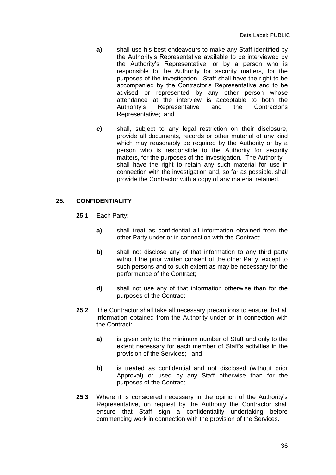- **a)** shall use his best endeavours to make any Staff identified by the Authority's Representative available to be interviewed by the Authority's Representative, or by a person who is responsible to the Authority for security matters, for the purposes of the investigation. Staff shall have the right to be accompanied by the Contractor's Representative and to be advised or represented by any other person whose attendance at the interview is acceptable to both the Authority's Representative and the Contractor's Representative; and
- **c)** shall, subject to any legal restriction on their disclosure, provide all documents, records or other material of any kind which may reasonably be required by the Authority or by a person who is responsible to the Authority for security matters, for the purposes of the investigation. The Authority shall have the right to retain any such material for use in connection with the investigation and, so far as possible, shall provide the Contractor with a copy of any material retained.

#### **25. CONFIDENTIALITY**

- **25.1** Each Party:
	- **a)** shall treat as confidential all information obtained from the other Party under or in connection with the Contract;
	- **b)** shall not disclose any of that information to any third party without the prior written consent of the other Party, except to such persons and to such extent as may be necessary for the performance of the Contract;
	- **d)** shall not use any of that information otherwise than for the purposes of the Contract.
- **25.2** The Contractor shall take all necessary precautions to ensure that all information obtained from the Authority under or in connection with the Contract:
	- **a)** is given only to the minimum number of Staff and only to the extent necessary for each member of Staff's activities in the provision of the Services; and
	- **b)** is treated as confidential and not disclosed (without prior Approval) or used by any Staff otherwise than for the purposes of the Contract.
- **25.3** Where it is considered necessary in the opinion of the Authority's Representative, on request by the Authority the Contractor shall ensure that Staff sign a confidentiality undertaking before commencing work in connection with the provision of the Services.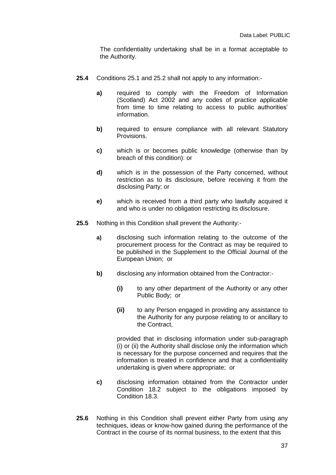The confidentiality undertaking shall be in a format acceptable to the Authority.

- **25.4** Conditions 25.1 and 25.2 shall not apply to any information:
	- **a)** required to comply with the Freedom of Information (Scotland) Act 2002 and any codes of practice applicable from time to time relating to access to public authorities' information.
	- **b)** required to ensure compliance with all relevant Statutory Provisions.
	- **c)** which is or becomes public knowledge (otherwise than by breach of this condition): or
	- **d)** which is in the possession of the Party concerned, without restriction as to its disclosure, before receiving it from the disclosing Party; or
	- **e)** which is received from a third party who lawfully acquired it and who is under no obligation restricting its disclosure.
- **25.5** Nothing in this Condition shall prevent the Authority:
	- **a)** disclosing such information relating to the outcome of the procurement process for the Contract as may be required to be published in the Supplement to the Official Journal of the European Union; or
	- **b)** disclosing any information obtained from the Contractor:-
		- **(i)** to any other department of the Authority or any other Public Body; or
		- **(ii)** to any Person engaged in providing any assistance to the Authority for any purpose relating to or ancillary to the Contract,

provided that in disclosing information under sub-paragraph (i) or (ii) the Authority shall disclose only the information which is necessary for the purpose concerned and requires that the information is treated in confidence and that a confidentiality undertaking is given where appropriate; or

- **c)** disclosing information obtained from the Contractor under Condition 18.2 subject to the obligations imposed by Condition 18.3.
- **25.6** Nothing in this Condition shall prevent either Party from using any techniques, ideas or know-how gained during the performance of the Contract in the course of its normal business, to the extent that this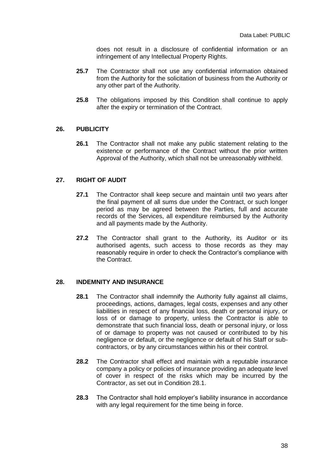does not result in a disclosure of confidential information or an infringement of any Intellectual Property Rights.

- **25.7** The Contractor shall not use any confidential information obtained from the Authority for the solicitation of business from the Authority or any other part of the Authority.
- **25.8** The obligations imposed by this Condition shall continue to apply after the expiry or termination of the Contract.

#### **26. PUBLICITY**

**26.1** The Contractor shall not make any public statement relating to the existence or performance of the Contract without the prior written Approval of the Authority, which shall not be unreasonably withheld.

#### **27. RIGHT OF AUDIT**

- **27.1** The Contractor shall keep secure and maintain until two years after the final payment of all sums due under the Contract, or such longer period as may be agreed between the Parties, full and accurate records of the Services, all expenditure reimbursed by the Authority and all payments made by the Authority.
- **27.2** The Contractor shall grant to the Authority, its Auditor or its authorised agents, such access to those records as they may reasonably require in order to check the Contractor's compliance with the Contract.

#### **28. INDEMNITY AND INSURANCE**

- **28.1** The Contractor shall indemnify the Authority fully against all claims, proceedings, actions, damages, legal costs, expenses and any other liabilities in respect of any financial loss, death or personal injury, or loss of or damage to property, unless the Contractor is able to demonstrate that such financial loss, death or personal injury, or loss of or damage to property was not caused or contributed to by his negligence or default, or the negligence or default of his Staff or subcontractors, or by any circumstances within his or their control.
- **28.2** The Contractor shall effect and maintain with a reputable insurance company a policy or policies of insurance providing an adequate level of cover in respect of the risks which may be incurred by the Contractor, as set out in Condition 28.1.
- **28.3** The Contractor shall hold employer's liability insurance in accordance with any legal requirement for the time being in force.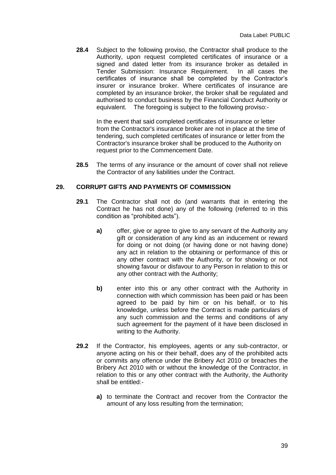**28.4** Subject to the following proviso, the Contractor shall produce to the Authority, upon request completed certificates of insurance or a signed and dated letter from its insurance broker as detailed in Tender Submission: Insurance Requirement. In all cases the certificates of insurance shall be completed by the Contractor's insurer or insurance broker. Where certificates of insurance are completed by an insurance broker, the broker shall be regulated and authorised to conduct business by the Financial Conduct Authority or equivalent. The foregoing is subject to the following proviso:-

In the event that said completed certificates of insurance or letter from the Contractor's insurance broker are not in place at the time of tendering, such completed certificates of insurance or letter from the Contractor's insurance broker shall be produced to the Authority on request prior to the Commencement Date.

**28.5** The terms of any insurance or the amount of cover shall not relieve the Contractor of any liabilities under the Contract.

#### **29. CORRUPT GIFTS AND PAYMENTS OF COMMISSION**

- **29.1** The Contractor shall not do (and warrants that in entering the Contract he has not done) any of the following (referred to in this condition as "prohibited acts").
	- **a)** offer, give or agree to give to any servant of the Authority any gift or consideration of any kind as an inducement or reward for doing or not doing (or having done or not having done) any act in relation to the obtaining or performance of this or any other contract with the Authority, or for showing or not showing favour or disfavour to any Person in relation to this or any other contract with the Authority;
	- **b)** enter into this or any other contract with the Authority in connection with which commission has been paid or has been agreed to be paid by him or on his behalf, or to his knowledge, unless before the Contract is made particulars of any such commission and the terms and conditions of any such agreement for the payment of it have been disclosed in writing to the Authority.
- **29.2** If the Contractor, his employees, agents or any sub-contractor, or anyone acting on his or their behalf, does any of the prohibited acts or commits any offence under the Bribery Act 2010 or breaches the Bribery Act 2010 with or without the knowledge of the Contractor, in relation to this or any other contract with the Authority, the Authority shall be entitled:
	- **a)** to terminate the Contract and recover from the Contractor the amount of any loss resulting from the termination;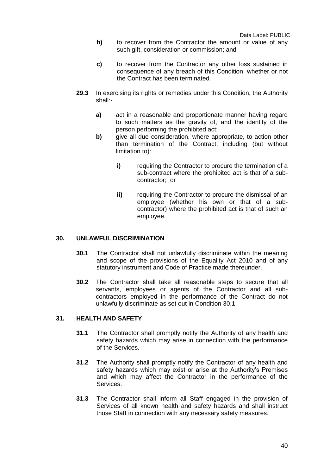- **b)** to recover from the Contractor the amount or value of any such gift, consideration or commission; and
- **c)** to recover from the Contractor any other loss sustained in consequence of any breach of this Condition, whether or not the Contract has been terminated.
- **29.3** In exercising its rights or remedies under this Condition, the Authority shall:
	- **a)** act in a reasonable and proportionate manner having regard to such matters as the gravity of, and the identity of the person performing the prohibited act;
	- **b)** give all due consideration, where appropriate, to action other than termination of the Contract, including (but without limitation to):
		- **i)** requiring the Contractor to procure the termination of a sub-contract where the prohibited act is that of a subcontractor; or
		- **ii)** requiring the Contractor to procure the dismissal of an employee (whether his own or that of a subcontractor) where the prohibited act is that of such an employee.

#### **30. UNLAWFUL DISCRIMINATION**

- **30.1** The Contractor shall not unlawfully discriminate within the meaning and scope of the provisions of the Equality Act 2010 and of any statutory instrument and Code of Practice made thereunder.
- **30.2** The Contractor shall take all reasonable steps to secure that all servants, employees or agents of the Contractor and all subcontractors employed in the performance of the Contract do not unlawfully discriminate as set out in Condition 30.1.

#### **31. HEALTH AND SAFETY**

- **31.1** The Contractor shall promptly notify the Authority of any health and safety hazards which may arise in connection with the performance of the Services.
- **31.2** The Authority shall promptly notify the Contractor of any health and safety hazards which may exist or arise at the Authority's Premises and which may affect the Contractor in the performance of the Services.
- **31.3** The Contractor shall inform all Staff engaged in the provision of Services of all known health and safety hazards and shall instruct those Staff in connection with any necessary safety measures.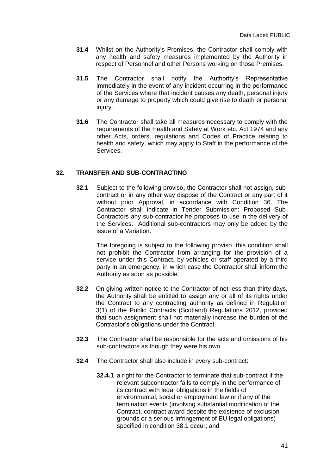- **31.4** Whilst on the Authority's Premises, the Contractor shall comply with any health and safety measures implemented by the Authority in respect of Personnel and other Persons working on those Premises.
- **31.5** The Contractor shall notify the Authority's Representative immediately in the event of any incident occurring in the performance of the Services where that incident causes any death, personal injury or any damage to property which could give rise to death or personal injury.
- **31.6** The Contractor shall take all measures necessary to comply with the requirements of the Health and Safety at Work etc. Act 1974 and any other Acts, orders, regulations and Codes of Practice relating to health and safety, which may apply to Staff in the performance of the Services.

#### **32. TRANSFER AND SUB-CONTRACTING**

**32.1** Subject to the following proviso**,** the Contractor shall not assign, subcontract or in any other way dispose of the Contract or any part of it without prior Approval, in accordance with Condition 36. The Contractor shall indicate in Tender Submission: Proposed Sub-Contractors any sub-contractor he proposes to use in the delivery of the Services. Additional sub-contractors may only be added by the issue of a Variation.

The foregoing is subject to the following proviso :this condition shall not prohibit the Contractor from arranging for the provision of a service under this Contract, by vehicles or staff operated by a third party in an emergency, in which case the Contractor shall inform the Authority as soon as possible.

- **32.2** On giving written notice to the Contractor of not less than thirty days, the Authority shall be entitled to assign any or all of its rights under the Contract to any contracting authority as defined in Regulation 3(1) of the Public Contracts (Scotland) Regulations 2012, provided that such assignment shall not materially increase the burden of the Contractor's obligations under the Contract.
- **32.3** The Contractor shall be responsible for the acts and omissions of his sub-contractors as though they were his own.
- **32.4** The Contractor shall also include in every sub-contract:
	- **32.4.1** a right for the Contractor to terminate that sub-contract if the relevant subcontractor fails to comply in the performance of its contract with legal obligations in the fields of environmental, social or employment law or if any of the termination events (involving substantial modification of the Contract, contract award despite the existence of exclusion grounds or a serious infringement of EU legal obligations) specified in condition 38.1 occur; and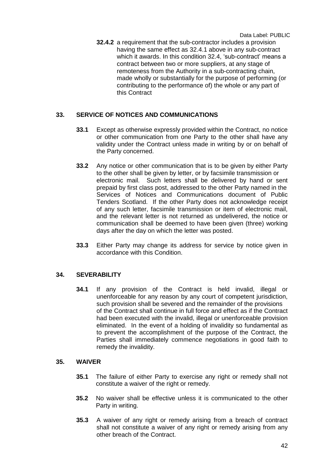**32.4.2** a requirement that the sub-contractor includes a provision having the same effect as 32.4.1 above in any sub-contract which it awards. In this condition 32.4, 'sub-contract' means a contract between two or more suppliers, at any stage of remoteness from the Authority in a sub-contracting chain, made wholly or substantially for the purpose of performing (or contributing to the performance of) the whole or any part of this Contract

#### **33. SERVICE OF NOTICES AND COMMUNICATIONS**

- **33.1** Except as otherwise expressly provided within the Contract, no notice or other communication from one Party to the other shall have any validity under the Contract unless made in writing by or on behalf of the Party concerned.
- **33.2** Any notice or other communication that is to be given by either Party to the other shall be given by letter, or by facsimile transmission or electronic mail. Such letters shall be delivered by hand or sent prepaid by first class post, addressed to the other Party named in the Services of Notices and Communications document of Public Tenders Scotland. If the other Party does not acknowledge receipt of any such letter, facsimile transmission or item of electronic mail, and the relevant letter is not returned as undelivered, the notice or communication shall be deemed to have been given (three) working days after the day on which the letter was posted.
- **33.3** Either Party may change its address for service by notice given in accordance with this Condition.

#### **34. SEVERABILITY**

**34.1** If any provision of the Contract is held invalid, illegal or unenforceable for any reason by any court of competent jurisdiction, such provision shall be severed and the remainder of the provisions of the Contract shall continue in full force and effect as if the Contract had been executed with the invalid, illegal or unenforceable provision eliminated. In the event of a holding of invalidity so fundamental as to prevent the accomplishment of the purpose of the Contract, the Parties shall immediately commence negotiations in good faith to remedy the invalidity.

#### **35. WAIVER**

- **35.1** The failure of either Party to exercise any right or remedy shall not constitute a waiver of the right or remedy.
- **35.2** No waiver shall be effective unless it is communicated to the other Party in writing.
- **35.3** A waiver of any right or remedy arising from a breach of contract shall not constitute a waiver of any right or remedy arising from any other breach of the Contract.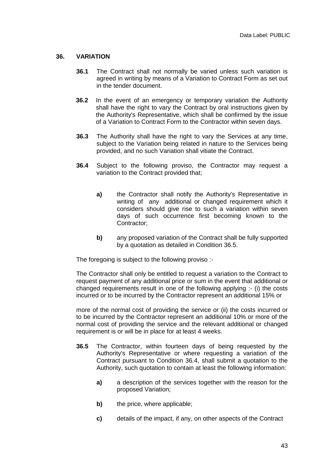#### **36. VARIATION**

- **36.1** The Contract shall not normally be varied unless such variation is agreed in writing by means of a Variation to Contract Form as set out in the tender document.
- **36.2** In the event of an emergency or temporary variation the Authority shall have the right to vary the Contract by oral instructions given by the Authority's Representative, which shall be confirmed by the issue of a Variation to Contract Form to the Contractor within seven days.
- **36.3** The Authority shall have the right to vary the Services at any time, subject to the Variation being related in nature to the Services being provided, and no such Variation shall vitiate the Contract.
- **36.4** Subject to the following proviso, the Contractor may request a variation to the Contract provided that;
	- **a)** the Contractor shall notify the Authority's Representative in writing of any additional or changed requirement which it considers should give rise to such a variation within seven days of such occurrence first becoming known to the Contractor;
	- **b)** any proposed variation of the Contract shall be fully supported by a quotation as detailed in Condition 36.5.

The foregoing is subject to the following proviso :-

The Contractor shall only be entitled to request a variation to the Contract to request payment of any additional price or sum in the event that additional or changed requirements result in one of the following applying :- (i) the costs incurred or to be incurred by the Contractor represent an additional 15% or

more of the normal cost of providing the service or (ii) the costs incurred or to be incurred by the Contractor represent an additional 10% or more of the normal cost of providing the service and the relevant additional or changed requirement is or will be in place for at least 4 weeks.

- **36.5** The Contractor, within fourteen days of being requested by the Authority's Representative or where requesting a variation of the Contract pursuant to Condition 36.4, shall submit a quotation to the Authority, such quotation to contain at least the following information:
	- **a)** a description of the services together with the reason for the proposed Variation;
	- **b)** the price, where applicable;
	- **c)** details of the impact, if any, on other aspects of the Contract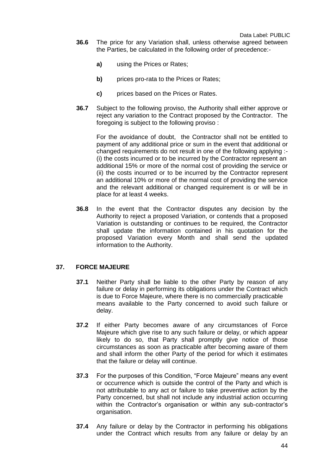- **36.6** The price for any Variation shall, unless otherwise agreed between the Parties, be calculated in the following order of precedence:
	- **a)** using the Prices or Rates;
	- **b)** prices pro-rata to the Prices or Rates;
	- **c)** prices based on the Prices or Rates.
- **36.7** Subject to the following proviso, the Authority shall either approve or reject any variation to the Contract proposed by the Contractor. The foregoing is subject to the following proviso :

For the avoidance of doubt, the Contractor shall not be entitled to payment of any additional price or sum in the event that additional or changed requirements do not result in one of the following applying :-(i) the costs incurred or to be incurred by the Contractor represent an additional 15% or more of the normal cost of providing the service or (ii) the costs incurred or to be incurred by the Contractor represent an additional 10% or more of the normal cost of providing the service and the relevant additional or changed requirement is or will be in place for at least 4 weeks.

**36.8** In the event that the Contractor disputes any decision by the Authority to reject a proposed Variation, or contends that a proposed Variation is outstanding or continues to be required, the Contractor shall update the information contained in his quotation for the proposed Variation every Month and shall send the updated information to the Authority.

#### **37. FORCE MAJEURE**

- **37.1** Neither Party shall be liable to the other Party by reason of any failure or delay in performing its obligations under the Contract which is due to Force Majeure, where there is no commercially practicable means available to the Party concerned to avoid such failure or delay.
- **37.2** If either Party becomes aware of any circumstances of Force Majeure which give rise to any such failure or delay, or which appear likely to do so, that Party shall promptly give notice of those circumstances as soon as practicable after becoming aware of them and shall inform the other Party of the period for which it estimates that the failure or delay will continue.
- **37.3** For the purposes of this Condition, "Force Majeure" means any event or occurrence which is outside the control of the Party and which is not attributable to any act or failure to take preventive action by the Party concerned, but shall not include any industrial action occurring within the Contractor's organisation or within any sub-contractor's organisation.
- **37.4** Any failure or delay by the Contractor in performing his obligations under the Contract which results from any failure or delay by an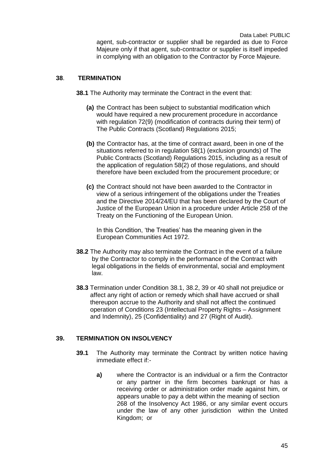#### **38**. **TERMINATION**

**38.1** The Authority may terminate the Contract in the event that:

- **(a)** the Contract has been subject to substantial modification which would have required a new procurement procedure in accordance with regulation 72(9) (modification of contracts during their term) of The Public Contracts (Scotland) Regulations 2015;
- **(b)** the Contractor has, at the time of contract award, been in one of the situations referred to in regulation 58(1) (exclusion grounds) of The Public Contracts (Scotland) Regulations 2015, including as a result of the application of regulation 58(2) of those regulations, and should therefore have been excluded from the procurement procedure; or
- **(c)** the Contract should not have been awarded to the Contractor in view of a serious infringement of the obligations under the Treaties and the Directive 2014/24/EU that has been declared by the Court of Justice of the European Union in a procedure under Article 258 of the Treaty on the Functioning of the European Union.

In this Condition, 'the Treaties' has the meaning given in the European Communities Act 1972.

- **38.2** The Authority may also terminate the Contract in the event of a failure by the Contractor to comply in the performance of the Contract with legal obligations in the fields of environmental, social and employment law.
- **38.3** Termination under Condition 38.1, 38.2, 39 or 40 shall not prejudice or affect any right of action or remedy which shall have accrued or shall thereupon accrue to the Authority and shall not affect the continued operation of Conditions 23 (Intellectual Property Rights – Assignment and Indemnity), 25 (Confidentiality) and 27 (Right of Audit).

#### **39. TERMINATION ON INSOLVENCY**

- **39.1** The Authority may terminate the Contract by written notice having immediate effect if:
	- **a)** where the Contractor is an individual or a firm the Contractor or any partner in the firm becomes bankrupt or has a receiving order or administration order made against him, or appears unable to pay a debt within the meaning of section 268 of the Insolvency Act 1986, or any similar event occurs under the law of any other jurisdiction within the United Kingdom; or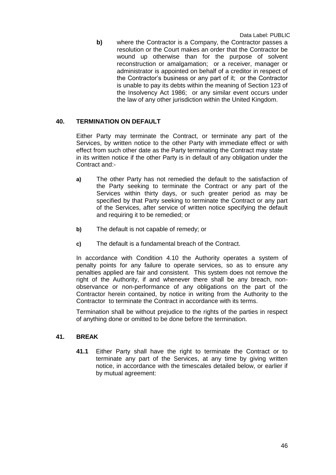**b)** where the Contractor is a Company, the Contractor passes a resolution or the Court makes an order that the Contractor be wound up otherwise than for the purpose of solvent reconstruction or amalgamation; or a receiver, manager or administrator is appointed on behalf of a creditor in respect of the Contractor's business or any part of it; or the Contractor is unable to pay its debts within the meaning of Section 123 of the Insolvency Act 1986; or any similar event occurs under the law of any other jurisdiction within the United Kingdom.

#### **40. TERMINATION ON DEFAULT**

Either Party may terminate the Contract, or terminate any part of the Services, by written notice to the other Party with immediate effect or with effect from such other date as the Party terminating the Contract may state in its written notice if the other Party is in default of any obligation under the Contract and:-

- **a)** The other Party has not remedied the default to the satisfaction of the Party seeking to terminate the Contract or any part of the Services within thirty days, or such greater period as may be specified by that Party seeking to terminate the Contract or any part of the Services, after service of written notice specifying the default and requiring it to be remedied; or
- **b)** The default is not capable of remedy; or
- **c)** The default is a fundamental breach of the Contract.

In accordance with Condition 4.10 the Authority operates a system of penalty points for any failure to operate services, so as to ensure any penalties applied are fair and consistent. This system does not remove the right of the Authority, if and whenever there shall be any breach, nonobservance or non-performance of any obligations on the part of the Contractor herein contained, by notice in writing from the Authority to the Contractor to terminate the Contract in accordance with its terms.

Termination shall be without prejudice to the rights of the parties in respect of anything done or omitted to be done before the termination.

# **41. BREAK**

**41.1** Either Party shall have the right to terminate the Contract or to terminate any part of the Services, at any time by giving written notice, in accordance with the timescales detailed below, or earlier if by mutual agreement: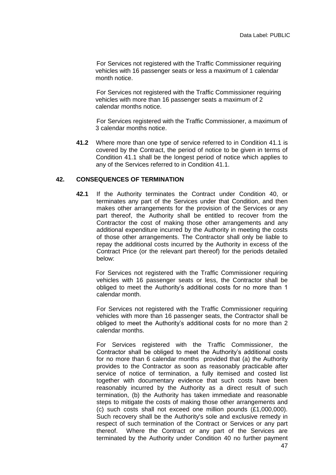For Services not registered with the Traffic Commissioner requiring vehicles with 16 passenger seats or less a maximum of 1 calendar month notice.

For Services not registered with the Traffic Commissioner requiring vehicles with more than 16 passenger seats a maximum of 2 calendar months notice.

For Services registered with the Traffic Commissioner, a maximum of 3 calendar months notice.

**41.2** Where more than one type of service referred to in Condition 41.1 is covered by the Contract, the period of notice to be given in terms of Condition 41.1 shall be the longest period of notice which applies to any of the Services referred to in Condition 41.1.

#### **42. CONSEQUENCES OF TERMINATION**

**42.1** If the Authority terminates the Contract under Condition 40, or terminates any part of the Services under that Condition, and then makes other arrangements for the provision of the Services or any part thereof, the Authority shall be entitled to recover from the Contractor the cost of making those other arrangements and any additional expenditure incurred by the Authority in meeting the costs of those other arrangements. The Contractor shall only be liable to repay the additional costs incurred by the Authority in excess of the Contract Price (or the relevant part thereof) for the periods detailed below:

 For Services not registered with the Traffic Commissioner requiring vehicles with 16 passenger seats or less, the Contractor shall be obliged to meet the Authority's additional costs for no more than 1 calendar month.

For Services not registered with the Traffic Commissioner requiring vehicles with more than 16 passenger seats, the Contractor shall be obliged to meet the Authority's additional costs for no more than 2 calendar months.

For Services registered with the Traffic Commissioner, the Contractor shall be obliged to meet the Authority's additional costs for no more than 6 calendar months provided that (a) the Authority provides to the Contractor as soon as reasonably practicable after service of notice of termination, a fully itemised and costed list together with documentary evidence that such costs have been reasonably incurred by the Authority as a direct result of such termination, (b) the Authority has taken immediate and reasonable steps to mitigate the costs of making those other arrangements and (c) such costs shall not exceed one million pounds (£1,000,000). Such recovery shall be the Authority's sole and exclusive remedy in respect of such termination of the Contract or Services or any part thereof. Where the Contract or any part of the Services are terminated by the Authority under Condition 40 no further payment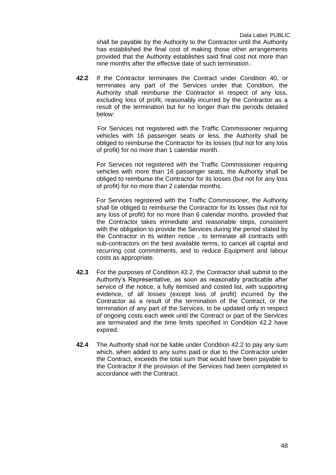shall be payable by the Authority to the Contractor until the Authority has established the final cost of making those other arrangements provided that the Authority establishes said final cost not more than nine months after the effective date of such termination..

**42.2** If the Contractor terminates the Contract under Condition 40, or terminates any part of the Services under that Condition, the Authority shall reimburse the Contractor in respect of any loss, excluding loss of profit, reasonably incurred by the Contractor as a result of the termination but for no longer than the periods detailed below:

 For Services not registered with the Traffic Commissioner requiring vehicles with 16 passenger seats or less, the Authority shall be obliged to reimburse the Contractor for its losses (but not for any loss of profit) for no more than 1 calendar month.

For Services not registered with the Traffic Commissioner requiring vehicles with more than 16 passenger seats, the Authority shall be obliged to reimburse the Contractor for its losses (but not for any loss of profit) for no more than 2 calendar months.

For Services registered with the Traffic Commissioner, the Authority shall be obliged to reimburse the Contractor for its losses (but not for any loss of profit) for no more than 6 calendar months. provided that the Contractor takes immediate and reasonable steps, consistent with the obligation to provide the Services during the period stated by the Contractor in its written notice , to terminate all contracts with sub-contractors on the best available terms, to cancel all capital and recurring cost commitments, and to reduce Equipment and labour costs as appropriate.

- **42.3** For the purposes of Condition 42.2, the Contractor shall submit to the Authority's Representative, as soon as reasonably practicable after service of the notice, a fully itemised and costed list, with supporting evidence, of all losses (except loss of profit) incurred by the Contractor as a result of the termination of the Contract, or the termination of any part of the Services, to be updated only in respect of ongoing costs each week until the Contract or part of the Services are terminated and the time limits specified in Condition 42.2 have expired.
- **42.4** The Authority shall not be liable under Condition 42.2 to pay any sum which, when added to any sums paid or due to the Contractor under the Contract, exceeds the total sum that would have been payable to the Contractor if the provision of the Services had been completed in accordance with the Contract.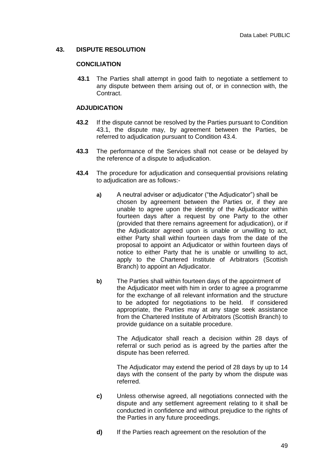#### **43. DISPUTE RESOLUTION**

#### **CONCILIATION**

**43.1** The Parties shall attempt in good faith to negotiate a settlement to any dispute between them arising out of, or in connection with, the Contract.

#### **ADJUDICATION**

- **43.2** If the dispute cannot be resolved by the Parties pursuant to Condition 43.1, the dispute may, by agreement between the Parties, be referred to adjudication pursuant to Condition 43.4.
- **43.3** The performance of the Services shall not cease or be delayed by the reference of a dispute to adjudication.
- **43.4** The procedure for adjudication and consequential provisions relating to adjudication are as follows:
	- **a)** A neutral adviser or adjudicator ("the Adjudicator") shall be chosen by agreement between the Parties or, if they are unable to agree upon the identity of the Adjudicator within fourteen days after a request by one Party to the other (provided that there remains agreement for adjudication), or if the Adjudicator agreed upon is unable or unwilling to act, either Party shall within fourteen days from the date of the proposal to appoint an Adjudicator or within fourteen days of notice to either Party that he is unable or unwilling to act, apply to the Chartered Institute of Arbitrators (Scottish Branch) to appoint an Adjudicator.
	- **b)** The Parties shall within fourteen days of the appointment of the Adjudicator meet with him in order to agree a programme for the exchange of all relevant information and the structure to be adopted for negotiations to be held. If considered appropriate, the Parties may at any stage seek assistance from the Chartered Institute of Arbitrators (Scottish Branch) to provide guidance on a suitable procedure.

The Adjudicator shall reach a decision within 28 days of referral or such period as is agreed by the parties after the dispute has been referred.

The Adjudicator may extend the period of 28 days by up to 14 days with the consent of the party by whom the dispute was referred.

- **c)** Unless otherwise agreed, all negotiations connected with the dispute and any settlement agreement relating to it shall be conducted in confidence and without prejudice to the rights of the Parties in any future proceedings.
- **d)** If the Parties reach agreement on the resolution of the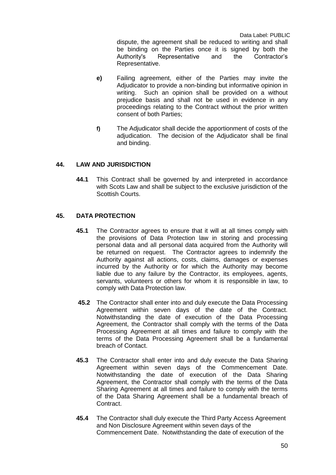dispute, the agreement shall be reduced to writing and shall be binding on the Parties once it is signed by both the Authority's Representative and the Contractor's Representative.

- **e)** Failing agreement, either of the Parties may invite the Adjudicator to provide a non-binding but informative opinion in writing. Such an opinion shall be provided on a without prejudice basis and shall not be used in evidence in any proceedings relating to the Contract without the prior written consent of both Parties;
- **f)** The Adjudicator shall decide the apportionment of costs of the adjudication. The decision of the Adjudicator shall be final and binding.

#### **44. LAW AND JURISDICTION**

**44.1** This Contract shall be governed by and interpreted in accordance with Scots Law and shall be subject to the exclusive jurisdiction of the Scottish Courts.

#### **45. DATA PROTECTION**

- **45.1** The Contractor agrees to ensure that it will at all times comply with the provisions of Data Protection law in storing and processing personal data and all personal data acquired from the Authority will be returned on request. The Contractor agrees to indemnify the Authority against all actions, costs, claims, damages or expenses incurred by the Authority or for which the Authority may become liable due to any failure by the Contractor, its employees, agents, servants, volunteers or others for whom it is responsible in law, to comply with Data Protection law.
- **45.2** The Contractor shall enter into and duly execute the Data Processing Agreement within seven days of the date of the Contract. Notwithstanding the date of execution of the Data Processing Agreement, the Contractor shall comply with the terms of the Data Processing Agreement at all times and failure to comply with the terms of the Data Processing Agreement shall be a fundamental breach of Contact.
- **45.3** The Contractor shall enter into and duly execute the Data Sharing Agreement within seven days of the Commencement Date. Notwithstanding the date of execution of the Data Sharing Agreement, the Contractor shall comply with the terms of the Data Sharing Agreement at all times and failure to comply with the terms of the Data Sharing Agreement shall be a fundamental breach of Contract.
- **45.4** The Contractor shall duly execute the Third Party Access Agreement and Non Disclosure Agreement within seven days of the Commencement Date. Notwithstanding the date of execution of the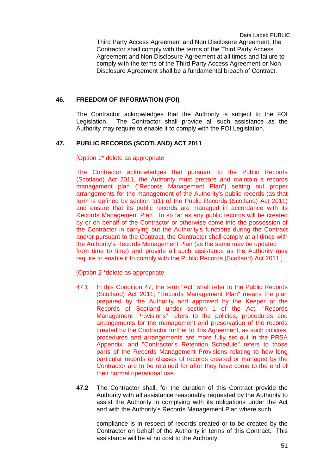Third Party Access Agreement and Non Disclosure Agreement, the Contractor shall comply with the terms of the Third Party Access Agreement and Non Disclosure Agreement at all times and failure to comply with the terms of the Third Party Access Agreement or Non Disclosure Agreement shall be a fundamental breach of Contract.

#### **46. FREEDOM OF INFORMATION (FOI)**

The Contractor acknowledges that the Authority is subject to the FOI Legislation. The Contractor shall provide all such assistance as the Authority may require to enable it to comply with the FOI Legislation.

#### **47. PUBLIC RECORDS (SCOTLAND) ACT 2011**

#### [Option 1\* delete as appropriate

The Contractor acknowledges that pursuant to the Public Records (Scotland) Act 2011, the Authority must prepare and maintain a records management plan ("Records Management Plan") setting out proper arrangements for the management of the Authority's public records (as that term is defined by section 3(1) of the Public Records (Scotland) Act 2011) and ensure that its public records are managed in accordance with its Records Management Plan. In so far as any public records will be created by or on behalf of the Contractor or otherwise come into the possession of the Contractor in carrying out the Authority's functions during the Contract and/or pursuant to the Contract, the Contractor shall comply at all times with the Authority's Records Management Plan (as the same may be updated from time to time) and provide all such assistance as the Authority may require to enable it to comply with the Public Records (Scotland) Act 2011.]

[Option 2 \*delete as appropriate

- 47.1 In this Condition 47, the term "Act" shall refer to the Public Records (Scotland) Act 2011; "Records Management Plan" means the plan prepared by the Authority and approved by the Keeper of the Records of Scotland under section 1 of the Act, "Records Management Provisions" refers to the policies, procedures and arrangements for the management and preservation of the records created by the Contractor further to this Agreement, as such policies, procedures and arrangements are more fully set out in the PRSA Appendix; and "Contractor's Retention Schedule" refers to those parts of the Records Management Provisions relating to how long particular records or classes of records created or managed by the Contractor are to be retained for after they have come to the end of their normal operational use.
- **47.2** The Contractor shall, for the duration of this Contract provide the Authority with all assistance reasonably requested by the Authority to assist the Authority in complying with its obligations under the Act and with the Authority's Records Management Plan where such

compliance is in respect of records created or to be created by the Contractor on behalf of the Authority in terms of this Contract. This assistance will be at no cost to the Authority.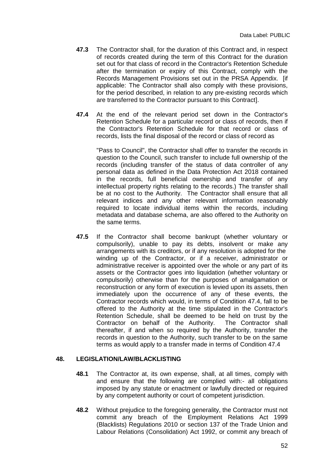- **47.3** The Contractor shall, for the duration of this Contract and, in respect of records created during the term of this Contract for the duration set out for that class of record in the Contractor's Retention Schedule after the termination or expiry of this Contract, comply with the Records Management Provisions set out in the PRSA Appendix. [if applicable: The Contractor shall also comply with these provisions, for the period described, in relation to any pre-existing records which are transferred to the Contractor pursuant to this Contract].
- **47.4** At the end of the relevant period set down in the Contractor's Retention Schedule for a particular record or class of records, then if the Contractor's Retention Schedule for that record or class of records, lists the final disposal of the record or class of record as

"Pass to Council", the Contractor shall offer to transfer the records in question to the Council, such transfer to include full ownership of the records (including transfer of the status of data controller of any personal data as defined in the Data Protection Act 2018 contained in the records, full beneficial ownership and transfer of any intellectual property rights relating to the records.) The transfer shall be at no cost to the Authority. The Contractor shall ensure that all relevant indices and any other relevant information reasonably required to locate individual items within the records, including metadata and database schema, are also offered to the Authority on the same terms.

**47.5** If the Contractor shall become bankrupt (whether voluntary or compulsorily), unable to pay its debts, insolvent or make any arrangements with its creditors, or if any resolution is adopted for the winding up of the Contractor, or if a receiver, administrator or administrative receiver is appointed over the whole or any part of its assets or the Contractor goes into liquidation (whether voluntary or compulsorily) otherwise than for the purposes of amalgamation or reconstruction or any form of execution is levied upon its assets, then immediately upon the occurrence of any of these events, the Contractor records which would, in terms of Condition 47.4, fall to be offered to the Authority at the time stipulated in the Contractor's Retention Schedule, shall be deemed to be held on trust by the Contractor on behalf of the Authority. The Contractor shall thereafter, if and when so required by the Authority, transfer the records in question to the Authority, such transfer to be on the same terms as would apply to a transfer made in terms of Condition 47.4

#### **48. LEGISLATION/LAW/BLACKLISTING**

- **48.1** The Contractor at, its own expense, shall, at all times, comply with and ensure that the following are complied with:- all obligations imposed by any statute or enactment or lawfully directed or required by any competent authority or court of competent jurisdiction.
- **48.2** Without prejudice to the foregoing generality, the Contractor must not commit any breach of the Employment Relations Act 1999 (Blacklists) Regulations 2010 or section 137 of the Trade Union and Labour Relations (Consolidation) Act 1992, or commit any breach of